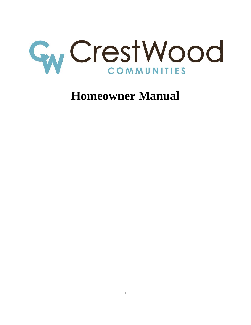

# **Homeowner Manual**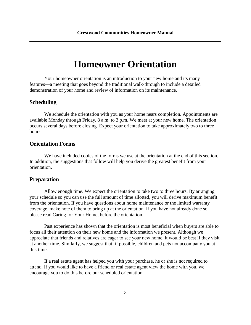## **Homeowner Orientation**

Your homeowner orientation is an introduction to your new home and its many features—a meeting that goes beyond the traditional walk-through to include a detailed demonstration of your home and review of information on its maintenance.

#### **Scheduling**

We schedule the orientation with you as your home nears completion. Appointments are available Monday through Friday, 8 a.m. to 3 p.m. We meet at your new home. The orientation occurs several days before closing. Expect your orientation to take approximately two to three hours.

#### **Orientation Forms**

We have included copies of the forms we use at the orientation at the end of this section. In addition, the suggestions that follow will help you derive the greatest benefit from your orientation.

#### **Preparation**

Allow enough time. We expect the orientation to take two to three hours. By arranging your schedule so you can use the full amount of time allotted, you will derive maximum benefit from the orientation. If you have questions about home maintenance or the limited warranty coverage, make note of them to bring up at the orientation. If you have not already done so, please read Caring for Your Home, before the orientation.

Past experience has shown that the orientation is most beneficial when buyers are able to focus all their attention on their new home and the information we present. Although we appreciate that friends and relatives are eager to see your new home, it would be best if they visit at another time. Similarly, we suggest that, if possible, children and pets not accompany you at this time.

If a real estate agent has helped you with your purchase, he or she is not required to attend. If you would like to have a friend or real estate agent view the home with you, we encourage you to do this before our scheduled orientation.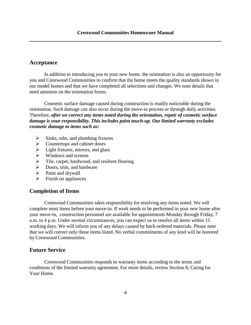#### **Acceptance**

In addition to introducing you to your new home, the orientation is also an opportunity for you and Crestwood Communities to confirm that the home meets the quality standards shown in our model homes and that we have completed all selections and changes. We note details that need attention on the orientation forms.

Cosmetic surface damage caused during construction is readily noticeable during the orientation. Such damage can also occur during the move-in process or through daily activities. Therefore, *after we correct any items noted during the orientation, repair of cosmetic surface damage is your responsibility. This includes paint touch-up. Our limited warranty excludes cosmetic damage to items such as:*

- $\triangleright$  Sinks, tubs, and plumbing fixtures
- $\triangleright$  Countertops and cabinet doors
- $\blacktriangleright$  Light fixtures, mirrors, and glass
- $\triangleright$  Windows and screens
- File, carpet, hardwood, and resilient flooring
- $\triangleright$  Doors, trim, and hardware
- $\triangleright$  Paint and drywall
- $\triangleright$  Finish on appliances

#### **Completion of Items**

Crestwood Communities takes responsibility for resolving any items noted. We will complete most items before your move-in. If work needs to be performed in your new home after your move-in, construction personnel are available for appointments Monday through Friday, 7 a.m. to 4 p.m. Under normal circumstances, you can expect us to resolve all items within 15 working days. We will inform you of any delays caused by back-ordered materials. Please note that we will correct only those items listed. No verbal commitments of any kind will be honored by Crestwood Communities.

#### **Future Service**

Crestwood Communities responds to warranty items according to the terms and conditions of the limited warranty agreement. For more details, review Section 8, Caring for Your Home.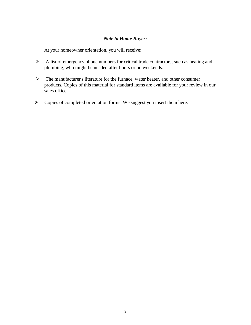#### *Note to Home Buyer:*

At your homeowner orientation, you will receive:

- A list of emergency phone numbers for critical trade contractors, such as heating and plumbing, who might be needed after hours or on weekends.
- $\triangleright$  The manufacturer's literature for the furnace, water heater, and other consumer products. Copies of this material for standard items are available for your review in our sales office.
- > Copies of completed orientation forms. We suggest you insert them here.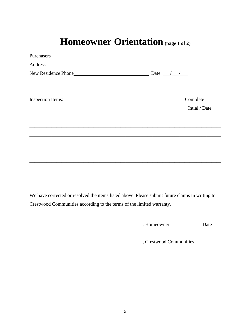## Homeowner Orientation (page 1 of 2)

| Purchasers                                                  |                                                                                                 |
|-------------------------------------------------------------|-------------------------------------------------------------------------------------------------|
| Address                                                     |                                                                                                 |
|                                                             | Date $\_\_\_\_\_\_\_\_\_\_\_\_\_\_\_\_\_\_$                                                     |
|                                                             |                                                                                                 |
| <b>Inspection Items:</b>                                    | Complete                                                                                        |
|                                                             | Intial / Date                                                                                   |
|                                                             |                                                                                                 |
| <u> 1989 - Johann Stoff, amerikansk politiker (d. 1989)</u> |                                                                                                 |
|                                                             |                                                                                                 |
|                                                             | ,我们也不能在这里的时候,我们也不能在这里的时候,我们也不能会在这里,我们也不能会在这里的时候,我们也不能会在这里的时候,我们也不能会在这里的时候,我们也不能会                |
|                                                             |                                                                                                 |
|                                                             |                                                                                                 |
|                                                             |                                                                                                 |
|                                                             | We have corrected or resolved the items listed above. Please submit future claims in writing to |

We have corrected or resolved the items listed above. Please submit future claims in writing to Crestwood Communities according to the terms of the limited warranty.

| 'WIIC.<br>______ |  |
|------------------|--|
|                  |  |

Crestwood Communities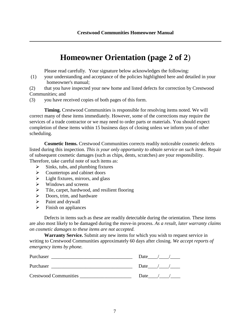## **Homeowner Orientation (page 2 of 2**)

Please read carefully. Your signature below acknowledges the following:

- (1) your understanding and acceptance of the policies highlighted here and detailed in your homeowner's manual;
- (2) that you have inspected your new home and listed defects for correction by Crestwood Communities; and
- (3) you have received copies of both pages of this form.

**Timing.** Crestwood Communities is responsible for resolving items noted. We will correct many of these items immediately. However, some of the corrections may require the services of a trade contractor or we may need to order parts or materials. You should expect completion of these items within 15 business days of closing unless we inform you of other scheduling.

**Cosmetic Items.** Crestwood Communities corrects readily noticeable cosmetic defects listed during this inspection. *This is your only opportunity to obtain service on such items.* Repair of subsequent cosmetic damages (such as chips, dents, scratches) are your responsibility. Therefore, take careful note of such items as:

- $\triangleright$  Sinks, tubs, and plumbing fixtures
- $\triangleright$  Countertops and cabinet doors
- $\blacktriangleright$  Light fixtures, mirrors, and glass
- $\triangleright$  Windows and screens
- $\triangleright$  Tile, carpet, hardwood, and resilient flooring
- $\triangleright$  Doors, trim, and hardware
- $\triangleright$  Paint and drywall
- $\triangleright$  Finish on appliances

Defects in items such as these are readily detectable during the orientation. These items are also most likely to be damaged during the move-in process. *As a result, later warranty claims on cosmetic damages to these items are not accepted.*

**Warranty Service.** Submit any new items for which you wish to request service in writing to Crestwood Communities approximately 60 days after closing. *We accept reports of emergency items by phone.*

| Purchaser                    | Date |
|------------------------------|------|
| Purchaser                    | Date |
| <b>Crestwood Communities</b> | Date |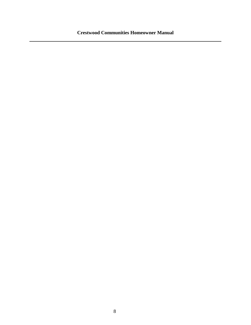## **Crestwood Communities Homeowner Manual**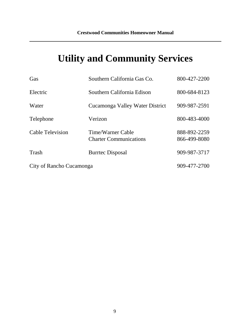## **Utility and Community Services**

| Gas                      | Southern California Gas Co.                        | 800-427-2200                 |
|--------------------------|----------------------------------------------------|------------------------------|
| Electric                 | Southern California Edison                         | 800-684-8123                 |
| Water                    | Cucamonga Valley Water District                    | 909-987-2591                 |
| Telephone                | Verizon                                            | 800-483-4000                 |
| <b>Cable Television</b>  | Time/Warner Cable<br><b>Charter Communications</b> | 888-892-2259<br>866-499-8080 |
| Trash                    | <b>Burrtec Disposal</b>                            | 909-987-3717                 |
| City of Rancho Cucamonga |                                                    | 909-477-2700                 |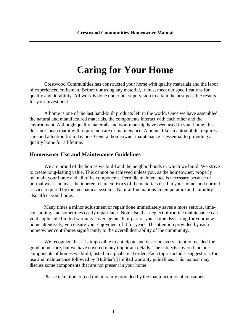## **Caring for Your Home**

Crestwood Communities has constructed your home with quality materials and the labor of experienced craftsmen. Before our using any material, it must meet our specifications for quality and durability. All work is done under our supervision to attain the best possible results for your investment.

A home is one of the last hand-built products left in the world. Once we have assembled the natural and manufactured materials, the components interact with each other and the environment. Although quality materials and workmanship have been used in your home, this does not mean that it will require no care or maintenance. A home, like an automobile, requires care and attention from day one. General homeowner maintenance is essential to providing a quality home for a lifetime.

#### **Homeowner Use and Maintenance Guidelines**

We are proud of the homes we build and the neighborhoods in which we build. We strive to create long-lasting value. This cannot be achieved unless you, as the homeowner, properly maintain your home and all of its components. Periodic maintenance is necessary because of normal wear and tear, the inherent characteristics of the materials used in your home, and normal service required by the mechanical systems. Natural fluctuations in temperature and humidity also affect your home.

Many times a minor adjustment or repair done immediately saves a more serious, timeconsuming, and sometimes costly repair later. Note also that neglect of routine maintenance can void applicable limited warranty coverage on all or part of your home. By caring for your new home attentively, you ensure your enjoyment of it for years. The attention provided by each homeowner contributes significantly to the overall desirability of the community.

We recognize that it is impossible to anticipate and describe every attention needed for good home care, but we have covered many important details. The subjects covered include components of homes we build, listed in alphabetical order. Each topic includes suggestions for use and maintenance followed by [Builder's] limited warranty guidelines. This manual may discuss some components that are not present in your home.

Please take time to read the literature provided by the manufacturers of consumer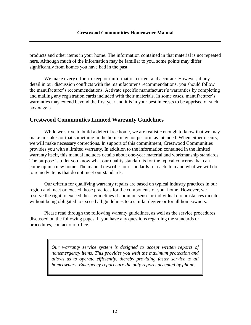products and other items in your home. The information contained in that material is not repeated here. Although much of the information may be familiar to you, some points may differ significantly from homes you have had in the past.

We make every effort to keep our information current and accurate. However, if any detail in our discussion conflicts with the manufacturer's recommendations, you should follow the manufacturer's recommendations. Activate specific manufacturer's warranties by completing and mailing any registration cards included with their materials. In some cases, manufacturer's warranties may extend beyond the first year and it is in your best interests to be apprised of such coverage's.

## **Crestwood Communities Limited Warranty Guidelines**

While we strive to build a defect-free home, we are realistic enough to know that we may make mistakes or that something in the home may not perform as intended. When either occurs, we will make necessary corrections. In support of this commitment, Crestwood Communities provides you with a limited warranty. In addition to the information contained in the limited warranty itself, this manual includes details about one-year material and workmanship standards. The purpose is to let you know what our quality standard is for the typical concerns that can come up in a new home. The manual describes our standards for each item and what we will do to remedy items that do not meet our standards.

Our criteria for qualifying warranty repairs are based on typical industry practices in our region and meet or exceed those practices for the components of your home. However, we reserve the right to exceed these guidelines if common sense or individual circumstances dictate, without being obligated to exceed all guidelines to a similar degree or for all homeowners.

Please read through the following waranty guidelines, as well as the service procedures discussed on the following pages. If you have any questions regarding the standards or procedures, contact our office.

> *Our warranty service system is designed to accept written reports of nonemergency items. This provides you with the maximum protection and allows us to operate efficiently, thereby providing faster service to all homeowners. Emergency reports are the only reports accepted by phone.*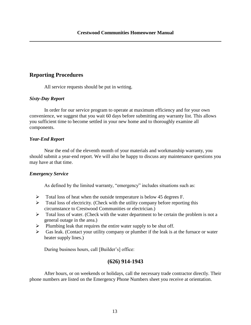## **Reporting Procedures**

All service requests should be put in writing.

#### *Sixty-Day Report*

In order for our service program to operate at maximum efficiency and for your own convenience, we suggest that you wait 60 days before submitting any warranty list. This allows you sufficient time to become settled in your new home and to thoroughly examine all components.

#### *Year-End Report*

Near the end of the eleventh month of your materials and workmanship warranty, you should submit a year-end report. We will also be happy to discuss any maintenance questions you may have at that time.

#### *Emergency Service*

As defined by the limited warranty, "emergency" includes situations such as:

- $\triangleright$  Total loss of heat when the outside temperature is below 45 degrees F.
- $\triangleright$  Total loss of electricity. (Check with the utility company before reporting this circumstance to Crestwood Communities or electrician.)
- $\triangleright$  Total loss of water. (Check with the water department to be certain the problem is not a general outage in the area.)
- $\triangleright$  Plumbing leak that requires the entire water supply to be shut off.
- $\triangleright$  Gas leak. (Contact your utility company or plumber if the leak is at the furnace or water heater supply lines.)

During business hours, call [Builder's] office:

### **(626) 914-1943**

After hours, or on weekends or holidays, call the necessary trade contractor directly. Their phone numbers are listed on the Emergency Phone Numbers sheet you receive at orientation.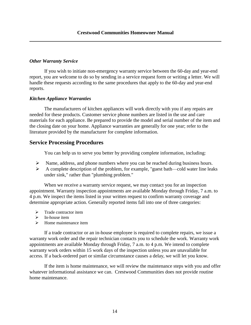#### *Other Warranty Service*

If you wish to initiate non-emergency warranty service between the 60-day and year-end report, you are welcome to do so by sending in a service request form or writing a letter. We will handle these requests according to the same procedures that apply to the 60-day and year-end reports.

#### *Kitchen Appliance Warranties*

The manufacturers of kitchen appliances will work directly with you if any repairs are needed for these products. Customer service phone numbers are listed in the use and care materials for each appliance. Be prepared to provide the model and serial number of the item and the closing date on your home. Appliance warranties are generally for one year; refer to the literature provided by the manufacturer for complete information.

### **Service Processing Procedures**

You can help us to serve you better by providing complete information, including:

- $\triangleright$  Name, address, and phone numbers where you can be reached during business hours.
- $\triangleright$  A complete description of the problem, for example, "guest bath—cold water line leaks under sink," rather than "plumbing problem."

When we receive a warranty service request, we may contact you for an inspection appointment. Warranty inspection appointments are available Monday through Friday, 7 a.m. to 4 p.m. We inspect the items listed in your written request to confirm warranty coverage and determine appropriate action. Generally reported items fall into one of three categories:

- $\triangleright$  Trade contractor item
- $\triangleright$  In-house item
- $\triangleright$  Home maintenance item

If a trade contractor or an in-house employee is required to complete repairs, we issue a warranty work order and the repair technician contacts you to schedule the work. Warranty work appointments are available Monday through Friday, 7 a.m. to 4 p.m. We intend to complete warranty work orders within 15 work days of the inspection unless you are unavailable for access. If a back-ordered part or similar circumstance causes a delay, we will let you know.

If the item is home maintenance, we will review the maintenance steps with you and offer whatever informational assistance we can. Crestwood Communities does not provide routine home maintenance.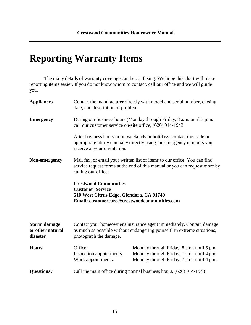## **Reporting Warranty Items**

The many details of warranty coverage can be confusing. We hope this chart will make reporting items easier. If you do not know whom to contact, call our office and we will guide you.

| <b>Appliances</b>                                   | Contact the manufacturer directly with model and serial number, closing<br>date, and description of problem.                                                                   |                                                                                                                                        |  |
|-----------------------------------------------------|--------------------------------------------------------------------------------------------------------------------------------------------------------------------------------|----------------------------------------------------------------------------------------------------------------------------------------|--|
| <b>Emergency</b>                                    | During our business hours (Monday through Friday, 8 a.m. until 3 p.m.,<br>call our customer service on-site office, (626) 914-1943                                             |                                                                                                                                        |  |
|                                                     | After business hours or on weekends or holidays, contact the trade or<br>appropriate utility company directly using the emergency numbers you<br>receive at your orientation.  |                                                                                                                                        |  |
| Non-emergency                                       | Mai, fax, or email your written list of items to our office. You can find<br>service request forms at the end of this manual or you can request more by<br>calling our office: |                                                                                                                                        |  |
|                                                     | <b>Crestwood Communities</b>                                                                                                                                                   |                                                                                                                                        |  |
|                                                     | <b>Customer Service</b><br>510 West Citrus Edge, Glendora, CA 91740<br>Email: customercare@crestwoodcommunities.com                                                            |                                                                                                                                        |  |
|                                                     |                                                                                                                                                                                |                                                                                                                                        |  |
|                                                     |                                                                                                                                                                                |                                                                                                                                        |  |
| <b>Storm damage</b><br>or other natural<br>disaster | Contact your homeowner's insurance agent immediately. Contain damage<br>as much as possible without endangering yourself. In extreme situations,<br>photograph the damage.     |                                                                                                                                        |  |
| <b>Hours</b>                                        | Office:<br>Inspection appointments:<br>Work appointments:                                                                                                                      | Monday through Friday, 8 a.m. until 5 p.m.<br>Monday through Friday, 7 a.m. until 4 p.m.<br>Monday through Friday, 7 a.m. until 4 p.m. |  |
| <b>Questions?</b>                                   | Call the main office during normal business hours, (626) 914-1943.                                                                                                             |                                                                                                                                        |  |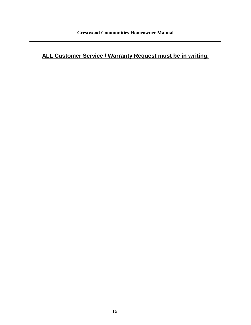## **ALL Customer Service / Warranty Request must be in writing.**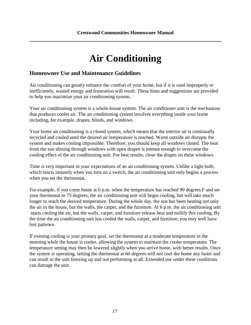# **Air Conditioning**

### **Homeowner Use and Maintenance Guidelines**

Air conditioning can greatly enhance the comfort of your home, but if it is used improperly or inefficiently, wasted energy and frustration will result. These hints and suggestions are provided to help you maximize your air conditioning system.

Your air conditioning system is a whole-house system. The air conditioner unit is the mechanism that produces cooler air. The air conditioning system involves everything inside your home including, for example, drapes, blinds, and windows.

Your home air conditioning is a closed system, which means that the interior air is continually recycled and cooled until the desired air temperature is reached. Warm outside air disrupts the system and makes cooling impossible. Therefore, you should keep all windows closed. The heat from the sun shining through windows with open drapes is intense enough to overcome the cooling effect of the air conditioning unit. For best results, close the drapes on these windows.

Time is very important in your expectations of an air conditioning system. Unlike a light bulb, which reacts instantly when you turn on a switch, the air conditioning unit only begins a process when you set the thermostat.

For example, if you come home at 6 p.m. when the temperature has reached 90 degrees F and set your thermostat to 75 degrees, the air conditioning unit will begin cooling, but will take much longer to reach the desired temperature. During the whole day, the sun has been heating not only the air in the house, but the walls, the carpet, and the furniture. At 6 p.m. the air conditioning unit starts cooling the air, but the walls, carpet, and furniture release heat and nullify this cooling. By the time the air conditioning unit has cooled the walls, carpet, and furniture, you may well have lost patience.

If evening cooling is your primary goal, set the thermostat at a moderate temperature in the morning while the house is cooler, allowing the system to maintain the cooler temperature. The temperature setting may then be lowered slightly when you arrive home, with better results. Once the system is operating, setting the thermostat at 60 degrees will *not* cool the home any faster and can result in the unit freezing up and not performing at all. Extended use under these conditions can damage the unit.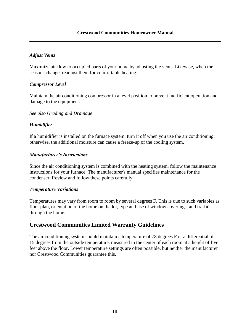#### *Adjust Vents*

Maximize air flow to occupied parts of your home by adjusting the vents. Likewise, when the seasons change, readjust them for comfortable heating.

#### *Compressor Level*

Maintain the air conditioning compressor in a level position to prevent inefficient operation and damage to the equipment.

*See also Grading and Drainage*.

#### *Humidifier*

If a humidifier is installed on the furnace system, turn it off when you use the air conditioning; otherwise, the additional moisture can cause a freeze-up of the cooling system.

#### *Manufacturer's Instructions*

Since the air conditioning system is combined with the heating system, follow the maintenance instructions for your furnace. The manufacturer's manual specifies maintenance for the condenser. Review and follow these points carefully.

#### *Temperature Variations*

Temperatures may vary from room to room by several degrees F. This is due to such variables as floor plan, orientation of the home on the lot, type and use of window coverings, and traffic through the home.

### **Crestwood Communities Limited Warranty Guidelines**

The air conditioning system should maintain a temperature of 78 degrees F or a differential of 15 degrees from the outside temperature, measured in the center of each room at a height of five feet above the floor. Lower temperature settings are often possible, but neither the manufacturer nor Crestwood Communities guarantee this.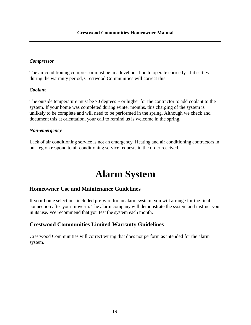#### *Compressor*

The air conditioning compressor must be in a level position to operate correctly. If it settles during the warranty period, Crestwood Communities will correct this.

#### *Coolant*

The outside temperature must be 70 degrees F or higher for the contractor to add coolant to the system. If your home was completed during winter months, this charging of the system is unlikely to be complete and will need to be performed in the spring. Although we check and document this at orientation, your call to remind us is welcome in the spring.

#### *Non-emergency*

Lack of air conditioning service is not an emergency. Heating and air conditioning contractors in our region respond to air conditioning service requests in the order received.

## **Alarm System**

## **Homeowner Use and Maintenance Guidelines**

If your home selections included pre-wire for an alarm system, you will arrange for the final connection after your move-in. The alarm company will demonstrate the system and instruct you in its use. We recommend that you test the system each month.

## **Crestwood Communities Limited Warranty Guidelines**

Crestwood Communities will correct wiring that does not perform as intended for the alarm system.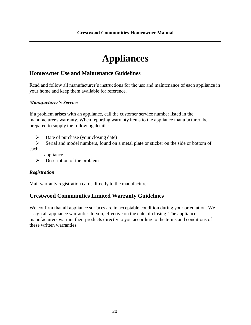# **Appliances**

## **Homeowner Use and Maintenance Guidelines**

Read and follow all manufacturer's instructions for the use and maintenance of each appliance in your home and keep them available for reference.

#### *Manufacturer's Service*

If a problem arises with an appliance, call the customer service number listed in the manufacturer's warranty. When reporting warranty items to the appliance manufacturer, be prepared to supply the following details:

 $\triangleright$  Date of purchase (your closing date)

 Serial and model numbers, found on a metal plate or sticker on the side or bottom of each

- appliance
- $\triangleright$  Description of the problem

#### *Registration*

Mail warranty registration cards directly to the manufacturer.

### **Crestwood Communities Limited Warranty Guidelines**

We confirm that all appliance surfaces are in acceptable condition during your orientation. We assign all appliance warranties to you, effective on the date of closing. The appliance manufacturers warrant their products directly to you according to the terms and conditions of these written warranties.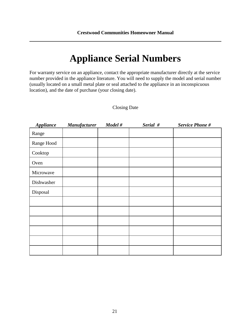## **Appliance Serial Numbers**

For warranty service on an appliance, contact the appropriate manufacturer directly at the service number provided in the appliance literature. You will need to supply the model and serial number (usually located on a small metal plate or seal attached to the appliance in an inconspicuous location), and the date of purchase (your closing date).

| <b>Appliance</b> | <b>Manufacturer</b> | Model # | Serial # | <b>Service Phone #</b> |
|------------------|---------------------|---------|----------|------------------------|
| Range            |                     |         |          |                        |
| Range Hood       |                     |         |          |                        |
| Cooktop          |                     |         |          |                        |
| Oven             |                     |         |          |                        |
| Microwave        |                     |         |          |                        |
| Dishwasher       |                     |         |          |                        |
| Disposal         |                     |         |          |                        |
|                  |                     |         |          |                        |
|                  |                     |         |          |                        |
|                  |                     |         |          |                        |
|                  |                     |         |          |                        |
|                  |                     |         |          |                        |
|                  |                     |         |          |                        |

#### Closing Date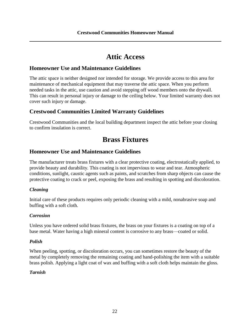## **Attic Access**

## **Homeowner Use and Maintenance Guidelines**

The attic space is neither designed nor intended for storage. We provide access to this area for maintenance of mechanical equipment that may traverse the attic space. When you perform needed tasks in the attic, use caution and avoid stepping off wood members onto the drywall. This can result in personal injury or damage to the ceiling below. Your limited warranty does not cover such injury or damage.

## **Crestwood Communities Limited Warranty Guidelines**

Crestwood Communities and the local building department inspect the attic before your closing to confirm insulation is correct.

## **Brass Fixtures**

## **Homeowner Use and Maintenance Guidelines**

The manufacturer treats brass fixtures with a clear protective coating, electrostatically applied, to provide beauty and durability. This coating is not impervious to wear and tear. Atmospheric conditions, sunlight, caustic agents such as paints, and scratches from sharp objects can cause the protective coating to crack or peel, exposing the brass and resulting in spotting and discoloration.

#### *Cleaning*

Initial care of these products requires only periodic cleaning with a mild, nonabrasive soap and buffing with a soft cloth.

#### *Corrosion*

Unless you have ordered solid brass fixtures, the brass on your fixtures is a coating on top of a base metal. Water having a high mineral content is corrosive to any brass—coated or solid.

#### *Polish*

When peeling, spotting, or discoloration occurs, you can sometimes restore the beauty of the metal by completely removing the remaining coating and hand-polishing the item with a suitable brass polish. Applying a light coat of wax and buffing with a soft cloth helps maintain the gloss.

#### *Tarnish*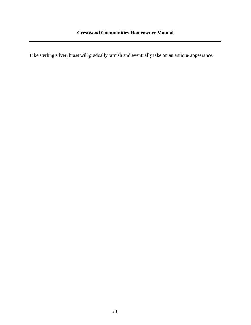Like sterling silver, brass will gradually tarnish and eventually take on an antique appearance.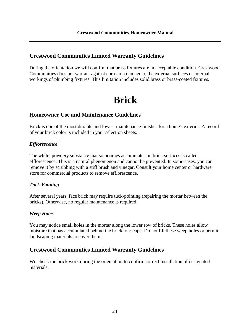## **Crestwood Communities Limited Warranty Guidelines**

During the orientation we will confirm that brass fixtures are in acceptable condition. Crestwood Communities does not warrant against corrosion damage to the external surfaces or internal workings of plumbing fixtures. This limitation includes solid brass or brass-coated fixtures.

# **Brick**

### **Homeowner Use and Maintenance Guidelines**

Brick is one of the most durable and lowest maintenance finishes for a home's exterior. A record of your brick color is included in your selection sheets.

#### *Efflorescence*

The white, powdery substance that sometimes accumulates on brick surfaces is called efflorescence. This is a natural phenomenon and cannot be prevented. In some cases, you can remove it by scrubbing with a stiff brush and vinegar. Consult your home center or hardware store for commercial products to remove efflorescence.

#### *Tuck-Pointing*

After several years, face brick may require tuck-pointing (repairing the mortar between the bricks). Otherwise, no regular maintenance is required.

#### *Weep Holes*

You may notice small holes in the mortar along the lower row of bricks. These holes allow moisture that has accumulated behind the brick to escape. Do not fill these weep holes or permit landscaping materials to cover them.

### **Crestwood Communities Limited Warranty Guidelines**

We check the brick work during the orientation to confirm correct installation of designated materials.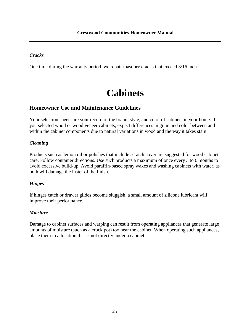#### *Cracks*

One time during the warranty period, we repair masonry cracks that exceed 3/16 inch.

# **Cabinets**

## **Homeowner Use and Maintenance Guidelines**

Your selection sheets are your record of the brand, style, and color of cabinets in your home. If you selected wood or wood veneer cabinets, expect differences in grain and color between and within the cabinet components due to natural variations in wood and the way it takes stain.

#### *Cleaning*

Products such as lemon oil or polishes that include scratch cover are suggested for wood cabinet care. Follow container directions. Use such products a maximum of once every 3 to 6 months to avoid excessive build-up. Avoid paraffin-based spray waxes and washing cabinets with water, as both will damage the luster of the finish.

#### *Hinges*

If hinges catch or drawer glides become sluggish, a small amount of silicone lubricant will improve their performance.

#### *Moisture*

Damage to cabinet surfaces and warping can result from operating appliances that generate large amounts of moisture (such as a crock pot) too near the cabinet. When operating such appliances, place them in a location that is not directly under a cabinet.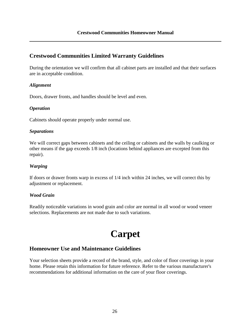## **Crestwood Communities Limited Warranty Guidelines**

During the orientation we will confirm that all cabinet parts are installed and that their surfaces are in acceptable condition.

#### *Alignment*

Doors, drawer fronts, and handles should be level and even.

#### *Operation*

Cabinets should operate properly under normal use.

#### *Separations*

We will correct gaps between cabinets and the ceiling or cabinets and the walls by caulking or other means if the gap exceeds 1/8 inch (locations behind appliances are excepted from this repair).

#### *Warping*

If doors or drawer fronts warp in excess of 1/4 inch within 24 inches, we will correct this by adjustment or replacement.

#### *Wood Grain*

Readily noticeable variations in wood grain and color are normal in all wood or wood veneer selections. Replacements are not made due to such variations.

## **Carpet**

### **Homeowner Use and Maintenance Guidelines**

Your selection sheets provide a record of the brand, style, and color of floor coverings in your home. Please retain this information for future reference. Refer to the various manufacturer's recommendations for additional information on the care of your floor coverings.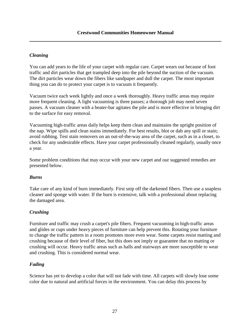#### *Cleaning*

You can add years to the life of your carpet with regular care. Carpet wears out because of foot traffic and dirt particles that get trampled deep into the pile beyond the suction of the vacuum. The dirt particles wear down the fibers like sandpaper and dull the carpet. The most important thing you can do to protect your carpet is to vacuum it frequently.

Vacuum twice each week lightly and once a week thoroughly. Heavy traffic areas may require more frequent cleaning. A light vacuuming is three passes; a thorough job may need seven passes. A vacuum cleaner with a beater-bar agitates the pile and is more effective in bringing dirt to the surface for easy removal.

Vacuuming high-traffic areas daily helps keep them clean and maintains the upright position of the nap. Wipe spills and clean stains immediately. For best results, blot or dab any spill or stain; avoid rubbing. Test stain removers on an out-of-the-way area of the carpet, such as in a closet, to check for any undesirable effects. Have your carpet professionally cleaned regularly, usually once a year.

Some problem conditions that may occur with your new carpet and our suggested remedies are presented below.

#### *Burns*

Take care of any kind of burn immediately. First snip off the darkened fibers. Then use a soapless cleaner and sponge with water. If the burn is extensive, talk with a professional about replacing the damaged area.

#### *Crushing*

Furniture and traffic may crush a carpet's pile fibers. Frequent vacuuming in high-traffic areas and glides or cups under heavy pieces of furniture can help prevent this. Rotating your furniture to change the traffic pattern in a room promotes more even wear. Some carpets resist matting and crushing because of their level of fiber, but this does not imply or guarantee that no matting or crushing will occur. Heavy traffic areas such as halls and stairways are more susceptible to wear and crushing. This is considered normal wear.

#### *Fading*

Science has yet to develop a color that will not fade with time. All carpets will slowly lose some color due to natural and artificial forces in the environment. You can delay this process by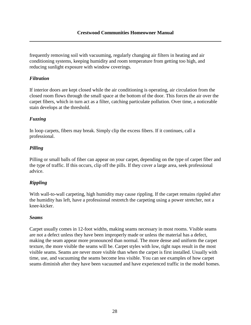frequently removing soil with vacuuming, regularly changing air filters in heating and air conditioning systems, keeping humidity and room temperature from getting too high, and reducing sunlight exposure with window coverings.

#### *Filtration*

If interior doors are kept closed while the air conditioning is operating, air circulation from the closed room flows through the small space at the bottom of the door. This forces the air over the carpet fibers, which in turn act as a filter, catching particulate pollution. Over time, a noticeable stain develops at the threshold.

#### *Fuzzing*

In loop carpets, fibers may break. Simply clip the excess fibers. If it continues, call a professional.

#### *Pilling*

Pilling or small balls of fiber can appear on your carpet, depending on the type of carpet fiber and the type of traffic. If this occurs, clip off the pills. If they cover a large area, seek professional advice.

#### *Rippling*

With wall-to-wall carpeting, high humidity may cause rippling. If the carpet remains rippled after the humidity has left, have a professional restretch the carpeting using a power stretcher, not a knee-kicker.

#### *Seams*

Carpet usually comes in 12-foot widths, making seams necessary in most rooms. Visible seams are not a defect unless they have been improperly made or unless the material has a defect, making the seam appear more pronounced than normal. The more dense and uniform the carpet texture, the more visible the seams will be. Carpet styles with low, tight naps result in the most visible seams. Seams are never more visible than when the carpet is first installed. Usually with time, use, and vacuuming the seams become less visible. You can see examples of how carpet seams diminish after they have been vacuumed and have experienced traffic in the model homes.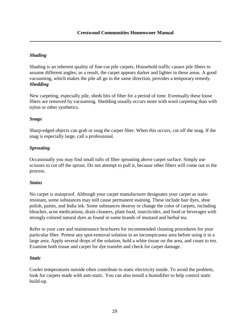#### *Shading*

Shading is an inherent quality of fine-cut pile carpets. Household traffic causes pile fibers to assume different angles; as a result, the carpet appears darker and lighter in these areas. A good vacuuming, which makes the pile all go in the same direction, provides a temporary remedy. *Shedding*

New carpeting, especially pile, sheds bits of fiber for a period of time. Eventually these loose fibers are removed by vacuuming. Shedding usually occurs more with wool carpeting than with nylon or other synthetics.

#### *Snags*

Sharp-edged objects can grab or snag the carpet fiber. When this occurs, cut off the snag. If the snag is especially large, call a professional.

#### *Sprouting*

Occasionally you may find small tufts of fiber sprouting above carpet surface. Simply use scissors to cut off the sprout. Do not attempt to pull it, because other fibers will come out in the process.

#### *Stains*

No carpet is stainproof. Although your carpet manufacturer designates your carpet as stainresistant, some substances may still cause permanent staining. These include hair dyes, shoe polish, paints, and India ink. Some substances destroy or change the color of carpets, including bleaches, acne medications, drain cleaners, plant food, insecticides, and food or beverages with strongly colored natural dyes as found in some brands of mustard and herbal tea.

Refer to your care and maintenance brochures for recommended cleaning procedures for your particular fiber. Pretest any spot-removal solution in an inconspicuous area before using it in a large area. Apply several drops of the solution, hold a white tissue on the area, and count to ten. Examine both tissue and carpet for dye transfer and check for carpet damage.

#### *Static*

Cooler temperatures outside often contribute to static electricity inside. To avoid the problem, look for carpets made with anti-static. You can also install a humidifier to help control static build-up.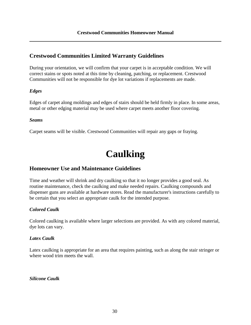## **Crestwood Communities Limited Warranty Guidelines**

During your orientation, we will confirm that your carpet is in acceptable condition. We will correct stains or spots noted at this time by cleaning, patching, or replacement. Crestwood Communities will not be responsible for dye lot variations if replacements are made.

#### *Edges*

Edges of carpet along moldings and edges of stairs should be held firmly in place. In some areas, metal or other edging material may be used where carpet meets another floor covering.

#### *Seams*

Carpet seams will be visible. Crestwood Communities will repair any gaps or fraying.

# **Caulking**

## **Homeowner Use and Maintenance Guidelines**

Time and weather will shrink and dry caulking so that it no longer provides a good seal. As routine maintenance, check the caulking and make needed repairs. Caulking compounds and dispenser guns are available at hardware stores. Read the manufacturer's instructions carefully to be certain that you select an appropriate caulk for the intended purpose.

#### *Colored Caulk*

Colored caulking is available where larger selections are provided. As with any colored material, dye lots can vary.

#### *Latex Caulk*

Latex caulking is appropriate for an area that requires painting, such as along the stair stringer or where wood trim meets the wall.

*Silicone Caulk*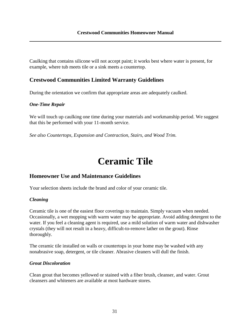Caulking that contains silicone will not accept paint; it works best where water is present, for example, where tub meets tile or a sink meets a countertop.

## **Crestwood Communities Limited Warranty Guidelines**

During the orientation we confirm that appropriate areas are adequately caulked.

#### *One-Time Repair*

We will touch up caulking one time during your materials and workmanship period. We suggest that this be performed with your 11-month service.

*See also Countertops, Expansion and Contraction, Stairs, and Wood Trim.*

## **Ceramic Tile**

### **Homeowner Use and Maintenance Guidelines**

Your selection sheets include the brand and color of your ceramic tile.

#### *Cleaning*

Ceramic tile is one of the easiest floor coverings to maintain. Simply vacuum when needed. Occasionally, a wet mopping with warm water may be appropriate. Avoid adding detergent to the water. If you feel a cleaning agent is required, use a mild solution of warm water and dishwasher crystals (they will not result in a heavy, difficult-to-remove lather on the grout). Rinse thoroughly.

The ceramic tile installed on walls or countertops in your home may be washed with any nonabrasive soap, detergent, or tile cleaner. Abrasive cleaners will dull the finish.

#### *Grout Discoloration*

Clean grout that becomes yellowed or stained with a fiber brush, cleanser, and water. Grout cleansers and whiteners are available at most hardware stores.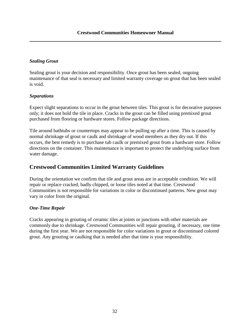#### *Sealing Grout*

Sealing grout is your decision and responsibility. Once grout has been sealed, ongoing maintenance of that seal is necessary and limited warranty coverage on grout that has been sealed is void.

#### *Separations*

Expect slight separations to occur in the grout between tiles. This grout is for decorative purposes only; it does not hold the tile in place. Cracks in the grout can be filled using premixed grout purchased from flooring or hardware stores. Follow package directions.

Tile around bathtubs or countertops may appear to be pulling up after a time. This is caused by normal shrinkage of grout or caulk and shrinkage of wood members as they dry out. If this occurs, the best remedy is to purchase tub caulk or premixed grout from a hardware store. Follow directions on the container. This maintenance is important to protect the underlying surface from water damage.

## **Crestwood Communities Limited Warranty Guidelines**

During the orientation we confirm that tile and grout areas are in acceptable condition. We will repair or replace cracked, badly chipped, or loose tiles noted at that time. Crestwood Communities is not responsible for variations in color or discontinued patterns. New grout may vary in color from the original.

#### *One-Time Repair*

Cracks appearing in grouting of ceramic tiles at joints or junctions with other materials are commonly due to shrinkage. Crestwood Communities will repair grouting, if necessary, one time during the first year. We are not responsible for color variations in grout or discontinued colored grout. Any grouting or caulking that is needed after that time is your responsibility.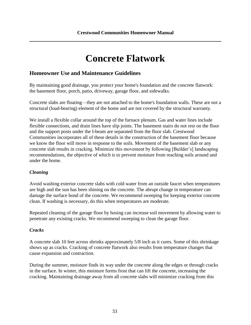## **Concrete Flatwork**

## **Homeowner Use and Maintenance Guidelines**

By maintaining good drainage, you protect your home's foundation and the concrete flatwork: the basement floor, porch, patio, driveway, garage floor, and sidewalks.

Concrete slabs are floating—they are not attached to the home's foundation walls. These are not a structural (load-bearing) element of the home and are not covered by the structural warranty.

We install a flexible collar around the top of the furnace plenum. Gas and water lines include flexible connections, and drain lines have slip joints. The basement stairs do not rest on the floor and the support posts under the I-beam are separated from the floor slab. Crestwood Communities incorporates all of these details in the construction of the basement floor because we know the floor will move in response to the soils. Movement of the basement slab or any concrete slab results in cracking. Minimize this movement by following [Builder's] landscaping recommendations, the objective of which is to prevent moisture from reaching soils around and under the home.

#### *Cleaning*

Avoid washing exterior concrete slabs with cold water from an outside faucet when temperatures are high and the sun has been shining on the concrete. The abrupt change in temperature can damage the surface bond of the concrete. We recommend sweeping for keeping exterior concrete clean. If washing is necessary, do this when temperatures are moderate.

Repeated cleaning of the garage floor by hosing can increase soil movement by allowing water to penetrate any existing cracks. We recommend sweeping to clean the garage floor.

#### *Cracks*

A concrete slab 10 feet across shrinks approximately 5/8 inch as it cures. Some of this shrinkage shows up as cracks. Cracking of concrete flatwork also results from temperature changes that cause expansion and contraction.

During the summer, moisture finds its way under the concrete along the edges or through cracks in the surface. In winter, this moisture forms frost that can lift the concrete, increasing the cracking. Maintaining drainage away from all concrete slabs will minimize cracking from this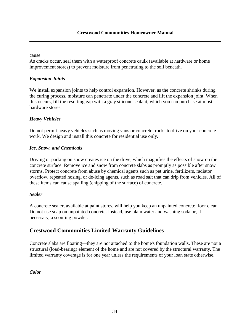cause.

As cracks occur, seal them with a waterproof concrete caulk (available at hardware or home improvement stores) to prevent moisture from penetrating to the soil beneath.

#### *Expansion Joints*

We install expansion joints to help control expansion. However, as the concrete shrinks during the curing process, moisture can penetrate under the concrete and lift the expansion joint. When this occurs, fill the resulting gap with a gray silicone sealant, which you can purchase at most hardware stores.

#### *Heavy Vehicles*

Do not permit heavy vehicles such as moving vans or concrete trucks to drive on your concrete work. We design and install this concrete for residential use only.

#### *Ice, Snow, and Chemicals*

Driving or parking on snow creates ice on the drive, which magnifies the effects of snow on the concrete surface. Remove ice and snow from concrete slabs as promptly as possible after snow storms. Protect concrete from abuse by chemical agents such as pet urine, fertilizers, radiator overflow, repeated hosing, or de-icing agents, such as road salt that can drip from vehicles. All of these items can cause spalling (chipping of the surface) of concrete.

#### *Sealer*

A concrete sealer, available at paint stores, will help you keep an unpainted concrete floor clean. Do not use soap on unpainted concrete. Instead, use plain water and washing soda or, if necessary, a scouring powder.

### **Crestwood Communities Limited Warranty Guidelines**

Concrete slabs are floating—they are not attached to the home's foundation walls. These are not a structural (load-bearing) element of the home and are not covered by the structural warranty. The limited warranty coverage is for one year unless the requirements of your loan state otherwise.

*Color*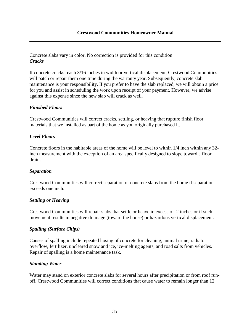Concrete slabs vary in color. No correction is provided for this condition *Cracks*

If concrete cracks reach 3/16 inches in width or vertical displacement, Crestwood Communities will patch or repair them one time during the warranty year. Subsequently, concrete slab maintenance is your responsibility. If you prefer to have the slab replaced, we will obtain a price for you and assist in scheduling the work upon receipt of your payment. However, we advise against this expense since the new slab will crack as well.

#### *Finished Floors*

Crestwood Communities will correct cracks, settling, or heaving that rupture finish floor materials that we installed as part of the home as you originally purchased it.

#### *Level Floors*

Concrete floors in the habitable areas of the home will be level to within 1/4 inch within any 32 inch measurement with the exception of an area specifically designed to slope toward a floor drain.

#### *Separation*

Crestwood Communities will correct separation of concrete slabs from the home if separation exceeds one inch.

#### *Settling or Heaving*

Crestwood Communities will repair slabs that settle or heave in excess of 2 inches or if such movement results in negative drainage (toward the house) or hazardous vertical displacement.

### *Spalling (Surface Chips)*

Causes of spalling include repeated hosing of concrete for cleaning, animal urine, radiator overflow, fertilizer, uncleared snow and ice, ice-melting agents, and road salts from vehicles. Repair of spalling is a home maintenance task.

#### *Standing Water*

Water may stand on exterior concrete slabs for several hours after precipitation or from roof runoff. Crestwood Communities will correct conditions that cause water to remain longer than 12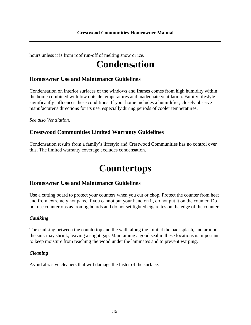hours unless it is from roof run-off of melting snow or ice.

## **Condensation**

## **Homeowner Use and Maintenance Guidelines**

Condensation on interior surfaces of the windows and frames comes from high humidity within the home combined with low outside temperatures and inadequate ventilation. Family lifestyle significantly influences these conditions. If your home includes a humidifier, closely observe manufacturer's directions for its use, especially during periods of cooler temperatures.

*See also Ventilation*.

## **Crestwood Communities Limited Warranty Guidelines**

Condensation results from a family's lifestyle and Crestwood Communities has no control over this. The limited warranty coverage excludes condensation.

## **Countertops**

### **Homeowner Use and Maintenance Guidelines**

Use a cutting board to protect your counters when you cut or chop. Protect the counter from heat and from extremely hot pans. If you cannot put your hand on it, do not put it on the counter. Do not use countertops as ironing boards and do not set lighted cigarettes on the edge of the counter.

#### *Caulking*

The caulking between the countertop and the wall, along the joint at the backsplash, and around the sink may shrink, leaving a slight gap. Maintaining a good seal in these locations is important to keep moisture from reaching the wood under the laminates and to prevent warping.

#### *Cleaning*

Avoid abrasive cleaners that will damage the luster of the surface.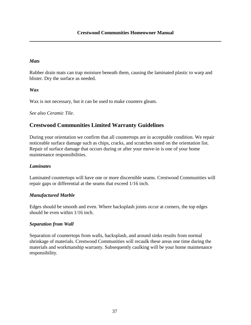### *Mats*

Rubber drain mats can trap moisture beneath them, causing the laminated plastic to warp and blister. Dry the surface as needed.

#### *Wax*

Wax is not necessary, but it can be used to make counters gleam.

*See also Ceramic Tile*.

# **Crestwood Communities Limited Warranty Guidelines**

During your orientation we confirm that all countertops are in acceptable condition. We repair noticeable surface damage such as chips, cracks, and scratches noted on the orientation list. Repair of surface damage that occurs during or after your move-in is one of your home maintenance responsibilities.

## *Laminates*

Laminated countertops will have one or more discernible seams. Crestwood Communities will repair gaps or differential at the seams that exceed 1/16 inch.

## *Manufactured Marble*

Edges should be smooth and even. Where backsplash joints occur at corners, the top edges should be even within 1/16 inch.

## *Separation from Wall*

Separation of countertops from walls, backsplash, and around sinks results from normal shrinkage of materials. Crestwood Communities will recaulk these areas one time during the materials and workmanship warranty. Subsequently caulking will be your home maintenance responsibility.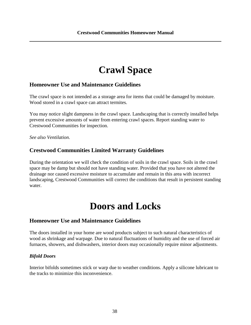# **Crawl Space**

# **Homeowner Use and Maintenance Guidelines**

The crawl space is not intended as a storage area for items that could be damaged by moisture. Wood stored in a crawl space can attract termites.

You may notice slight dampness in the crawl space. Landscaping that is correctly installed helps prevent excessive amounts of water from entering crawl spaces. Report standing water to Crestwood Communities for inspection.

*See also Ventilation*.

# **Crestwood Communities Limited Warranty Guidelines**

During the orientation we will check the condition of soils in the crawl space. Soils in the crawl space may be damp but should not have standing water. Provided that you have not altered the drainage nor caused excessive moisture to accumulate and remain in this area with incorrect landscaping, Crestwood Communities will correct the conditions that result in persistent standing water.

# **Doors and Locks**

# **Homeowner Use and Maintenance Guidelines**

The doors installed in your home are wood products subject to such natural characteristics of wood as shrinkage and warpage. Due to natural fluctuations of humidity and the use of forced air furnaces, showers, and dishwashers, interior doors may occasionally require minor adjustments.

## *Bifold Doors*

Interior bifolds sometimes stick or warp due to weather conditions. Apply a silicone lubricant to the tracks to minimize this inconvenience.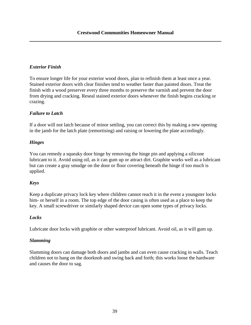# *Exterior Finish*

To ensure longer life for your exterior wood doors, plan to refinish them at least once a year. Stained exterior doors with clear finishes tend to weather faster than painted doors. Treat the finish with a wood preserver every three months to preserve the varnish and prevent the door from drying and cracking. Reseal stained exterior doors whenever the finish begins cracking or crazing.

## *Failure to Latch*

If a door will not latch because of minor settling, you can correct this by making a new opening in the jamb for the latch plate (remortising) and raising or lowering the plate accordingly.

# *Hinges*

You can remedy a squeaky door hinge by removing the hinge pin and applying a silicone lubricant to it. Avoid using oil, as it can gum up or attract dirt. Graphite works well as a lubricant but can create a gray smudge on the door or floor covering beneath the hinge if too much is applied.

# *Keys*

Keep a duplicate privacy lock key where children cannot reach it in the event a youngster locks him- or herself in a room. The top edge of the door casing is often used as a place to keep the key. A small screwdriver or similarly shaped device can open some types of privacy locks.

## *Locks*

Lubricate door locks with graphite or other waterproof lubricant. Avoid oil, as it will gum up.

## *Slamming*

Slamming doors can damage both doors and jambs and can even cause cracking in walls. Teach children not to hang on the doorknob and swing back and forth; this works loose the hardware and causes the door to sag.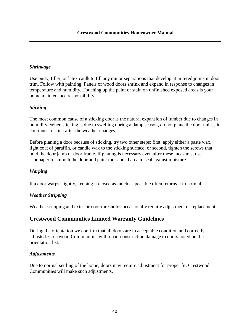# *Shrinkage*

Use putty, filler, or latex caulk to fill any minor separations that develop at mitered joints in door trim. Follow with painting. Panels of wood doors shrink and expand in response to changes in temperature and humidity. Touching up the paint or stain on unfinished exposed areas is your home maintenance responsibility.

## *Sticking*

The most common cause of a sticking door is the natural expansion of lumber due to changes in humidity. When sticking is due to swelling during a damp season, do not plane the door unless it continues to stick after the weather changes.

Before planing a door because of sticking, try two other steps: first, apply either a paste wax, light coat of paraffin, or candle wax to the sticking surface; or second, tighten the screws that hold the door jamb or door frame. If planing is necessary even after these measures, use sandpaper to smooth the door and paint the sanded area to seal against moisture.

## *Warping*

If a door warps slightly, keeping it closed as much as possible often returns it to normal.

## *Weather Stripping*

Weather stripping and exterior door thresholds occasionally require adjustment or replacement.

# **Crestwood Communities Limited Warranty Guidelines**

During the orientation we confirm that all doors are in acceptable condition and correctly adjusted. Crestwood Communities will repair construction damage to doors noted on the orientation list.

## *Adjustments*

Due to normal settling of the home, doors may require adjustment for proper fit. Crestwood Communities will make such adjustments.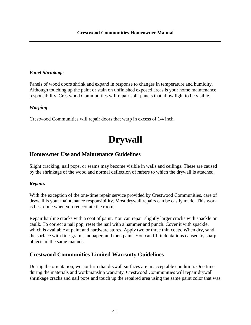## *Panel Shrinkage*

Panels of wood doors shrink and expand in response to changes in temperature and humidity. Although touching up the paint or stain on unfinished exposed areas is your home maintenance responsibility, Crestwood Communities will repair split panels that allow light to be visible.

#### *Warping*

Crestwood Communities will repair doors that warp in excess of 1/4 inch.

# **Drywall**

# **Homeowner Use and Maintenance Guidelines**

Slight cracking, nail pops, or seams may become visible in walls and ceilings. These are caused by the shrinkage of the wood and normal deflection of rafters to which the drywall is attached.

## *Repairs*

With the exception of the one-time repair service provided by Crestwood Communities, care of drywall is your maintenance responsibility. Most drywall repairs can be easily made. This work is best done when you redecorate the room.

Repair hairline cracks with a coat of paint. You can repair slightly larger cracks with spackle or caulk. To correct a nail pop, reset the nail with a hammer and punch. Cover it with spackle, which is available at paint and hardware stores. Apply two or three thin coats. When dry, sand the surface with fine-grain sandpaper, and then paint. You can fill indentations caused by sharp objects in the same manner.

# **Crestwood Communities Limited Warranty Guidelines**

During the orientation, we confirm that drywall surfaces are in acceptable condition. One time during the materials and workmanship warranty, Crestwood Communities will repair drywall shrinkage cracks and nail pops and touch up the repaired area using the same paint color that was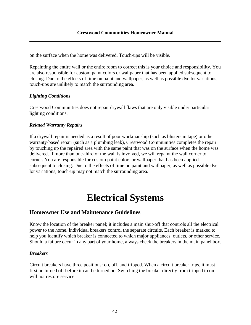on the surface when the home was delivered. Touch-ups will be visible.

Repainting the entire wall or the entire room to correct this is your choice and responsibility. You are also responsible for custom paint colors or wallpaper that has been applied subsequent to closing. Due to the effects of time on paint and wallpaper, as well as possible dye lot variations, touch-ups are unlikely to match the surrounding area.

#### *Lighting Conditions*

Crestwood Communities does not repair drywall flaws that are only visible under particular lighting conditions.

#### *Related Warranty Repairs*

If a drywall repair is needed as a result of poor workmanship (such as blisters in tape) or other warranty-based repair (such as a plumbing leak), Crestwood Communities completes the repair by touching up the repaired area with the same paint that was on the surface when the home was delivered. If more than one-third of the wall is involved, we will repaint the wall corner to corner. You are responsible for custom paint colors or wallpaper that has been applied subsequent to closing. Due to the effects of time on paint and wallpaper, as well as possible dye lot variations, touch-up may not match the surrounding area.

# **Electrical Systems**

# **Homeowner Use and Maintenance Guidelines**

Know the location of the breaker panel; it includes a main shut-off that controls all the electrical power to the home. Individual breakers control the separate circuits. Each breaker is marked to help you identify which breaker is connected to which major appliances, outlets, or other service. Should a failure occur in any part of your home, always check the breakers in the main panel box.

#### *Breakers*

Circuit breakers have three positions: on, off, and tripped. When a circuit breaker trips, it must first be turned off before it can be turned on. Switching the breaker directly from tripped to on will not restore service.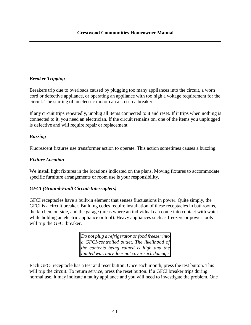# *Breaker Tripping*

Breakers trip due to overloads caused by plugging too many appliances into the circuit, a worn cord or defective appliance, or operating an appliance with too high a voltage requirement for the circuit. The starting of an electric motor can also trip a breaker.

If any circuit trips repeatedly, unplug all items connected to it and reset. If it trips when nothing is connected to it, you need an electrician. If the circuit remains on, one of the items you unplugged is defective and will require repair or replacement.

## *Buzzing*

Fluorescent fixtures use transformer action to operate. This action sometimes causes a buzzing.

## *Fixture Location*

We install light fixtures in the locations indicated on the plans. Moving fixtures to accommodate specific furniture arrangements or room use is your responsibility.

## *GFCI (Ground-Fault Circuit-Interrupters)*

GFCI receptacles have a built-in element that senses fluctuations in power. Quite simply, the GFCI is a circuit breaker. Building codes require installation of these receptacles in bathrooms, the kitchen, outside, and the garage (areas where an individual can come into contact with water while holding an electric appliance or tool). Heavy appliances such as freezers or power tools will trip the GFCI breaker.

> *Do not plug a refrigerator or food freezer into a GFCI-controlled outlet. The likelihood of the contents being ruined is high and the limited warranty does not cover such damage.*

Each GFCI receptacle has a test and reset button. Once each month, press the test button. This will trip the circuit. To return service, press the reset button. If a GFCI breaker trips during normal use, it may indicate a faulty appliance and you will need to investigate the problem. One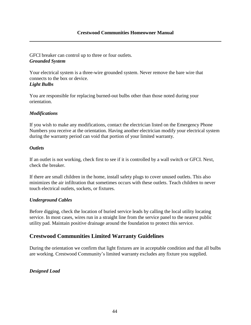GFCI breaker can control up to three or four outlets. *Grounded System*

Your electrical system is a three-wire grounded system. Never remove the bare wire that connects to the box or device.

## *Light Bulbs*

You are responsible for replacing burned-out bulbs other than those noted during your orientation.

## *Modifications*

If you wish to make any modifications, contact the electrician listed on the Emergency Phone Numbers you receive at the orientation. Having another electrician modify your electrical system during the warranty period can void that portion of your limited warranty.

#### *Outlets*

If an outlet is not working, check first to see if it is controlled by a wall switch or GFCI. Next, check the breaker.

If there are small children in the home, install safety plugs to cover unused outlets. This also minimizes the air infiltration that sometimes occurs with these outlets. Teach children to never touch electrical outlets, sockets, or fixtures.

## *Underground Cables*

Before digging, check the location of buried service leads by calling the local utility locating service. In most cases, wires run in a straight line from the service panel to the nearest public utility pad. Maintain positive drainage around the foundation to protect this service.

# **Crestwood Communities Limited Warranty Guidelines**

During the orientation we confirm that light fixtures are in acceptable condition and that all bulbs are working. Crestwood Community's limited warranty excludes any fixture you supplied.

# *Designed Load*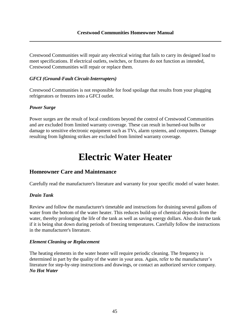Crestwood Communities will repair any electrical wiring that fails to carry its designed load to meet specifications. If electrical outlets, switches, or fixtures do not function as intended, Crestwood Communities will repair or replace them.

# *GFCI (Ground-Fault Circuit-Interrupters)*

Crestwood Communities is not responsible for food spoilage that results from your plugging refrigerators or freezers into a GFCI outlet.

#### *Power Surge*

Power surges are the result of local conditions beyond the control of Crestwood Communities and are excluded from limited warranty coverage. These can result in burned-out bulbs or damage to sensitive electronic equipment such as TVs, alarm systems, and computers. Damage resulting from lightning strikes are excluded from limited warranty coverage.

# **Electric Water Heater**

# **Homeowner Care and Maintenance**

Carefully read the manufacturer's literature and warranty for your specific model of water heater.

## *Drain Tank*

Review and follow the manufacturer's timetable and instructions for draining several gallons of water from the bottom of the water heater. This reduces build-up of chemical deposits from the water, thereby prolonging the life of the tank as well as saving energy dollars. Also drain the tank if it is being shut down during periods of freezing temperatures. Carefully follow the instructions in the manufacturer's literature.

## *Element Cleaning or Replacement*

The heating elements in the water heater will require periodic cleaning. The frequency is determined in part by the quality of the water in your area. Again, refer to the manufacturer's literature for step-by-step instructions and drawings, or contact an authorized service company. *No Hot Water*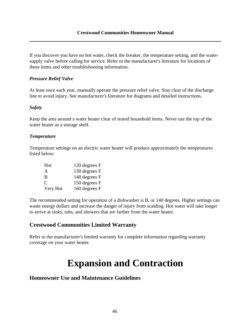If you discover you have no hot water, check the breaker, the temperature setting, and the watersupply valve before calling for service. Refer to the manufacturer's literature for locations of these items and other troubleshooting information.

## *Pressure Relief Valve*

At least once each year, manually operate the pressure relief valve. Stay clear of the discharge line to avoid injury. See manufacturer's literature for diagrams and detailed instructions.

#### *Safety*

Keep the area around a water heater clear of stored household items. Never use the top of the water heater as a storage shelf.

#### *Temperature*

Temperature settings on an electric water heater will produce approximately the temperatures listed below:

| Hot      | 120 degrees F |
|----------|---------------|
| A        | 130 degrees F |
| B        | 140 degrees F |
| C        | 150 degrees F |
| Very Hot | 160 degrees F |

The recommended setting for operation of a dishwasher is B, or 140 degrees. Higher settings can waste energy dollars and increase the danger of injury from scalding. Hot water will take longer to arrive at sinks, tubs, and showers that are farther from the water heater.

# **Crestwood Communities Limited Warranty**

Refer to the manufacturer's limited warranty for complete information regarding warranty coverage on your water heater.

# **Expansion and Contraction**

# **Homeowner Use and Maintenance Guidelines**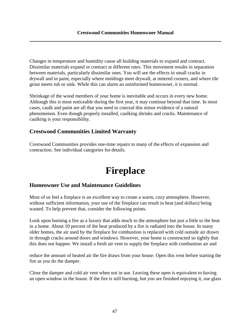Changes in temperature and humidity cause all building materials to expand and contract. Dissimilar materials expand or contract at different rates. This movement results in separation between materials, particularly dissimilar ones. You will see the effects in small cracks in drywall and in paint, especially where moldings meet drywall, at mitered corners, and where tile grout meets tub or sink. While this can alarm an uninformed homeowner, it is normal.

Shrinkage of the wood members of your home is inevitable and occurs in every new home. Although this is most noticeable during the first year, it may continue beyond that time. In most cases, caulk and paint are all that you need to conceal this minor evidence of a natural phenomenon. Even though properly installed, caulking shrinks and cracks. Maintenance of caulking is your responsibility.

# **Crestwood Communities Limited Warranty**

Crestwood Communities provides one-time repairs to many of the effects of expansion and contraction. See individual categories for details.

# **Fireplace**

# **Homeowner Use and Maintenance Guidelines**

Most of us feel a fireplace is an excellent way to create a warm, cozy atmosphere. However, without sufficient information, your use of the fireplace can result in heat (and dollars) being wasted. To help prevent that, consider the following points.

Look upon burning a fire as a luxury that adds much to the atmosphere but just a little to the heat in a home. About 10 percent of the heat produced by a fire is radiated into the house. In many older homes, the air used by the fireplace for combustion is replaced with cold outside air drawn in through cracks around doors and windows. However, your home is constructed so tightly that this does not happen. We install a fresh air vent to supply the fireplace with combustion air and

reduce the amount of heated air the fire draws from your house. Open this vent before starting the fire as you do the damper.

Close the damper and cold air vent when not in use. Leaving these open is equivalent to having an open window in the house. If the fire is still burning, but you are finished enjoying it, use glass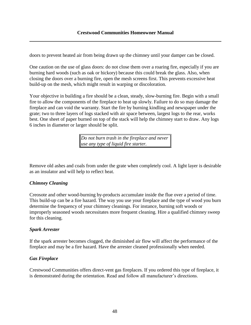doors to prevent heated air from being drawn up the chimney until your damper can be closed.

One caution on the use of glass doors: do not close them over a roaring fire, especially if you are burning hard woods (such as oak or hickory) because this could break the glass. Also, when closing the doors over a burning fire, open the mesh screens first. This prevents excessive heat build-up on the mesh, which might result in warping or discoloration.

Your objective in building a fire should be a clean, steady, slow-burning fire. Begin with a small fire to allow the components of the fireplace to heat up slowly. Failure to do so may damage the fireplace and can void the warranty. Start the fire by burning kindling and newspaper under the grate; two to three layers of logs stacked with air space between, largest logs to the rear, works best. One sheet of paper burned on top of the stack will help the chimney start to draw. Any logs 6 inches in diameter or larger should be split.

> *Do not burn trash in the fireplace and never use any type of liquid fire starter.*

Remove old ashes and coals from under the grate when completely cool. A light layer is desirable as an insulator and will help to reflect heat.

#### *Chimney Cleaning*

Creosote and other wood-burning by-products accumulate inside the flue over a period of time. This build-up can be a fire hazard. The way you use your fireplace and the type of wood you burn determine the frequency of your chimney cleanings. For instance, burning soft woods or improperly seasoned woods necessitates more frequent cleaning. Hire a qualified chimney sweep for this cleaning.

#### *Spark Arrester*

If the spark arrester becomes clogged, the diminished air flow will affect the performance of the fireplace and may be a fire hazard. Have the arrester cleaned professionally when needed.

#### *Gas Fireplace*

Crestwood Communities offers direct-vent gas fireplaces. If you ordered this type of fireplace, it is demonstrated during the orientation. Read and follow all manufacturer's directions.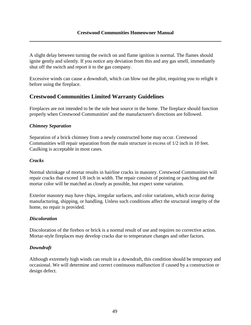A slight delay between turning the switch on and flame ignition is normal. The flames should ignite gently and silently. If you notice any deviation from this and any gas smell, immediately shut off the switch and report it to the gas company.

Excessive winds can cause a downdraft, which can blow out the pilot, requiring you to relight it before using the fireplace.

# **Crestwood Communities Limited Warranty Guidelines**

Fireplaces are not intended to be the sole heat source in the home. The fireplace should function properly when Crestwood Communities' and the manufacturer's directions are followed.

## *Chimney Separation*

Separation of a brick chimney from a newly constructed home may occur. Crestwood Communities will repair separation from the main structure in excess of 1/2 inch in 10 feet. Caulking is acceptable in most cases.

# *Cracks*

Normal shrinkage of mortar results in hairline cracks in masonry. Crestwood Communities will repair cracks that exceed 1/8 inch in width. The repair consists of pointing or patching and the mortar color will be matched as closely as possible, but expect some variation.

Exterior masonry may have chips, irregular surfaces, and color variations, which occur during manufacturing, shipping, or handling. Unless such conditions affect the structural integrity of the home, no repair is provided.

## *Discoloration*

Discoloration of the firebox or brick is a normal result of use and requires no corrective action. Mortar-style fireplaces may develop cracks due to temperature changes and other factors.

## *Downdraft*

Although extremely high winds can result in a downdraft, this condition should be temporary and occasional. We will determine and correct continuous malfunction if caused by a construction or design defect.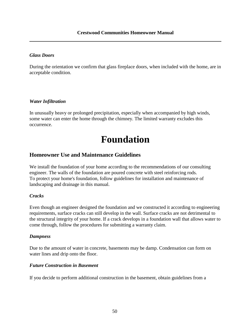#### *Glass Doors*

During the orientation we confirm that glass fireplace doors, when included with the home, are in acceptable condition.

## *Water Infiltration*

In unusually heavy or prolonged precipitation, especially when accompanied by high winds, some water can enter the home through the chimney. The limited warranty excludes this occurrence.

# **Foundation**

# **Homeowner Use and Maintenance Guidelines**

We install the foundation of your home according to the recommendations of our consulting engineer. The walls of the foundation are poured concrete with steel reinforcing rods. To protect your home's foundation, follow guidelines for installation and maintenance of landscaping and drainage in this manual.

#### *Cracks*

Even though an engineer designed the foundation and we constructed it according to engineering requirements, surface cracks can still develop in the wall. Surface cracks are not detrimental to the structural integrity of your home. If a crack develops in a foundation wall that allows water to come through, follow the procedures for submitting a warranty claim.

#### *Dampness*

Due to the amount of water in concrete, basements may be damp. Condensation can form on water lines and drip onto the floor.

## *Future Construction in Basement*

If you decide to perform additional construction in the basement, obtain guidelines from a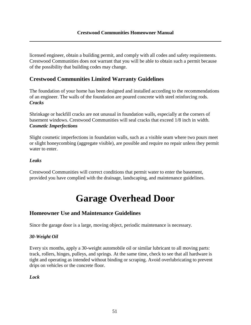licensed engineer, obtain a building permit, and comply with all codes and safety requirements. Crestwood Communities does not warrant that you will be able to obtain such a permit because of the possibility that building codes may change.

# **Crestwood Communities Limited Warranty Guidelines**

The foundation of your home has been designed and installed according to the recommendations of an engineer. The walls of the foundation are poured concrete with steel reinforcing rods. *Cracks*

Shrinkage or backfill cracks are not unusual in foundation walls, especially at the corners of basement windows. Crestwood Communities will seal cracks that exceed 1/8 inch in width. *Cosmetic Imperfections*

Slight cosmetic imperfections in foundation walls, such as a visible seam where two pours meet or slight honeycombing (aggregate visible), are possible and require no repair unless they permit water to enter.

# *Leaks*

Crestwood Communities will correct conditions that permit water to enter the basement, provided you have complied with the drainage, landscaping, and maintenance guidelines.

# **Garage Overhead Door**

# **Homeowner Use and Maintenance Guidelines**

Since the garage door is a large, moving object, periodic maintenance is necessary.

## *30-Weight Oil*

Every six months, apply a 30-weight automobile oil or similar lubricant to all moving parts: track, rollers, hinges, pulleys, and springs. At the same time, check to see that all hardware is tight and operating as intended without binding or scraping. Avoid overlubricating to prevent drips on vehicles or the concrete floor.

## *Lock*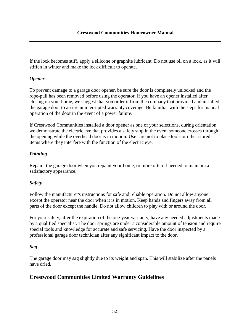If the lock becomes stiff, apply a silicone or graphite lubricant. Do not use oil on a lock, as it will stiffen in winter and make the lock difficult to operate.

# *Opener*

To prevent damage to a garage door opener, be sure the door is completely unlocked and the rope-pull has been removed before using the operator. If you have an opener installed after closing on your home, we suggest that you order it from the company that provided and installed the garage door to assure uninterrupted warranty coverage. Be familiar with the steps for manual operation of the door in the event of a power failure.

If Crestwood Communities installed a door opener as one of your selections, during orientation we demonstrate the electric eye that provides a safety stop in the event someone crosses through the opening while the overhead door is in motion. Use care not to place tools or other stored items where they interfere with the function of the electric eye.

# *Painting*

Repaint the garage door when you repaint your home, or more often if needed to maintain a satisfactory appearance.

# *Safety*

Follow the manufacturer's instructions for safe and reliable operation. Do not allow anyone except the operator near the door when it is in motion. Keep hands and fingers away from all parts of the door except the handle. Do not allow children to play with or around the door.

For your safety, after the expiration of the one-year warranty, have any needed adjustments made by a qualified specialist. The door springs are under a considerable amount of tension and require special tools and knowledge for accurate and safe servicing. Have the door inspected by a professional garage door technician after any significant impact to the door.

## *Sag*

The garage door may sag slightly due to its weight and span. This will stabilize after the panels have dried.

# **Crestwood Communities Limited Warranty Guidelines**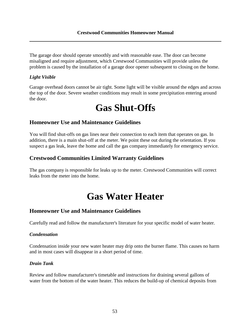The garage door should operate smoothly and with reasonable ease. The door can become misaligned and require adjustment, which Crestwood Communities will provide unless the problem is caused by the installation of a garage door opener subsequent to closing on the home.

# *Light Visible*

Garage overhead doors cannot be air tight. Some light will be visible around the edges and across the top of the door. Severe weather conditions may result in some precipitation entering around the door.

# **Gas Shut-Offs**

# **Homeowner Use and Maintenance Guidelines**

You will find shut-offs on gas lines near their connection to each item that operates on gas. In addition, there is a main shut-off at the meter. We point these out during the orientation. If you suspect a gas leak, leave the home and call the gas company immediately for emergency service.

# **Crestwood Communities Limited Warranty Guidelines**

The gas company is responsible for leaks up to the meter. Crestwood Communities will correct leaks from the meter into the home.

# **Gas Water Heater**

# **Homeowner Use and Maintenance Guidelines**

Carefully read and follow the manufacturer's literature for your specific model of water heater.

## *Condensation*

Condensation inside your new water heater may drip onto the burner flame. This causes no harm and in most cases will disappear in a short period of time.

## *Drain Tank*

Review and follow manufacturer's timetable and instructions for draining several gallons of water from the bottom of the water heater. This reduces the build-up of chemical deposits from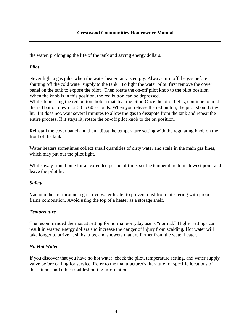the water, prolonging the life of the tank and saving energy dollars.

# *Pilot*

Never light a gas pilot when the water heater tank is empty. Always turn off the gas before shutting off the cold water supply to the tank. To light the water pilot, first remove the cover panel on the tank to expose the pilot. Then rotate the on-off pilot knob to the pilot position. When the knob is in this position, the red button can be depressed.

While depressing the red button, hold a match at the pilot. Once the pilot lights, continue to hold the red button down for 30 to 60 seconds. When you release the red button, the pilot should stay lit. If it does not, wait several minutes to allow the gas to dissipate from the tank and repeat the entire process. If it stays lit, rotate the on-off pilot knob to the on position.

Reinstall the cover panel and then adjust the temperature setting with the regulating knob on the front of the tank.

Water heaters sometimes collect small quantities of dirty water and scale in the main gas lines, which may put out the pilot light.

While away from home for an extended period of time, set the temperature to its lowest point and leave the pilot lit.

## *Safety*

Vacuum the area around a gas-fired water heater to prevent dust from interfering with proper flame combustion. Avoid using the top of a heater as a storage shelf.

## *Temperature*

The recommended thermostat setting for normal everyday use is "normal." Higher settings can result in wasted energy dollars and increase the danger of injury from scalding. Hot water will take longer to arrive at sinks, tubs, and showers that are farther from the water heater.

## *No Hot Water*

If you discover that you have no hot water, check the pilot, temperature setting, and water supply valve before calling for service. Refer to the manufacturer's literature for specific locations of these items and other troubleshooting information.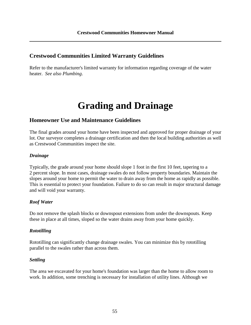# **Crestwood Communities Limited Warranty Guidelines**

Refer to the manufacturer's limited warranty for information regarding coverage of the water heater. *See also Plumbing*.

# **Grading and Drainage**

# **Homeowner Use and Maintenance Guidelines**

The final grades around your home have been inspected and approved for proper drainage of your lot. Our surveyor completes a drainage certification and then the local building authorities as well as Crestwood Communities inspect the site.

#### *Drainage*

Typically, the grade around your home should slope 1 foot in the first 10 feet, tapering to a 2 percent slope. In most cases, drainage swales do not follow property boundaries. Maintain the slopes around your home to permit the water to drain away from the home as rapidly as possible. This is essential to protect your foundation. Failure to do so can result in major structural damage and will void your warranty.

## *Roof Water*

Do not remove the splash blocks or downspout extensions from under the downspouts. Keep these in place at all times, sloped so the water drains away from your home quickly.

#### *Rototilling*

Rototilling can significantly change drainage swales. You can minimize this by rototilling parallel to the swales rather than across them.

#### *Settling*

The area we excavated for your home's foundation was larger than the home to allow room to work. In addition, some trenching is necessary for installation of utility lines. Although we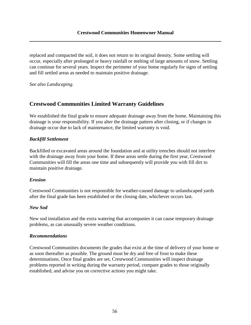replaced and compacted the soil, it does not return to its original density. Some settling will occur, especially after prolonged or heavy rainfall or melting of large amounts of snow. Settling can continue for several years. Inspect the perimeter of your home regularly for signs of settling and fill settled areas as needed to maintain positive drainage.

*See also Landscaping*.

# **Crestwood Communities Limited Warranty Guidelines**

We established the final grade to ensure adequate drainage away from the home. Maintaining this drainage is your responsibility. If you alter the drainage pattern after closing, or if changes in drainage occur due to lack of maintenance, the limited warranty is void.

#### *Backfill Settlement*

Backfilled or excavated areas around the foundation and at utility trenches should not interfere with the drainage away from your home. If these areas settle during the first year, Crestwood Communities will fill the areas one time and subsequently will provide you with fill dirt to maintain positive drainage.

## *Erosion*

Crestwood Communities is not responsible for weather-caused damage to unlandscaped yards after the final grade has been established or the closing date, whichever occurs last.

#### *New Sod*

New sod installation and the extra watering that accompanies it can cause temporary drainage problems, as can unusually severe weather conditions.

#### *Recommendations*

Crestwood Communities documents the grades that exist at the time of delivery of your home or as soon thereafter as possible. The ground must be dry and free of frost to make these determinations. Once final grades are set, Crestwood Communities will inspect drainage problems reported in writing during the warranty period, compare grades to those originally established, and advise you on corrective actions you might take.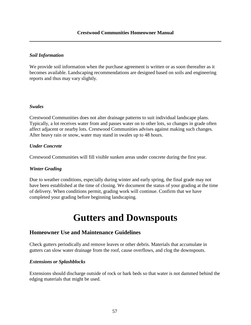### *Soil Information*

We provide soil information when the purchase agreement is written or as soon thereafter as it becomes available. Landscaping recommendations are designed based on soils and engineering reports and thus may vary slightly.

#### *Swales*

Crestwood Communities does not alter drainage patterns to suit individual landscape plans. Typically, a lot receives water from and passes water on to other lots, so changes in grade often affect adjacent or nearby lots. Crestwood Communities advises against making such changes. After heavy rain or snow, water may stand in swales up to 48 hours.

#### *Under Concrete*

Crestwood Communities will fill visible sunken areas under concrete during the first year.

## *Winter Grading*

Due to weather conditions, especially during winter and early spring, the final grade may not have been established at the time of closing. We document the status of your grading at the time of delivery. When conditions permit, grading work will continue. Confirm that we have completed your grading before beginning landscaping.

# **Gutters and Downspouts**

# **Homeowner Use and Maintenance Guidelines**

Check gutters periodically and remove leaves or other debris. Materials that accumulate in gutters can slow water drainage from the roof, cause overflows, and clog the downspouts.

#### *Extensions or Splashblocks*

Extensions should discharge outside of rock or bark beds so that water is not dammed behind the edging materials that might be used.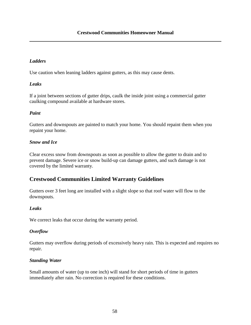# *Ladders*

Use caution when leaning ladders against gutters, as this may cause dents.

## *Leaks*

If a joint between sections of gutter drips, caulk the inside joint using a commercial gutter caulking compound available at hardware stores.

## *Paint*

Gutters and downspouts are painted to match your home. You should repaint them when you repaint your home.

## *Snow and Ice*

Clear excess snow from downspouts as soon as possible to allow the gutter to drain and to prevent damage. Severe ice or snow build-up can damage gutters, and such damage is not covered by the limited warranty.

# **Crestwood Communities Limited Warranty Guidelines**

Gutters over 3 feet long are installed with a slight slope so that roof water will flow to the downspouts.

## *Leaks*

We correct leaks that occur during the warranty period.

## *Overflow*

Gutters may overflow during periods of excessively heavy rain. This is expected and requires no repair.

## *Standing Water*

Small amounts of water (up to one inch) will stand for short periods of time in gutters immediately after rain. No correction is required for these conditions.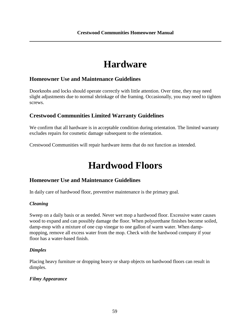# **Hardware**

# **Homeowner Use and Maintenance Guidelines**

Doorknobs and locks should operate correctly with little attention. Over time, they may need slight adjustments due to normal shrinkage of the framing. Occasionally, you may need to tighten screws.

# **Crestwood Communities Limited Warranty Guidelines**

We confirm that all hardware is in acceptable condition during orientation. The limited warranty excludes repairs for cosmetic damage subsequent to the orientation.

Crestwood Communities will repair hardware items that do not function as intended.

# **Hardwood Floors**

# **Homeowner Use and Maintenance Guidelines**

In daily care of hardwood floor, preventive maintenance is the primary goal.

## *Cleaning*

Sweep on a daily basis or as needed. Never wet mop a hardwood floor. Excessive water causes wood to expand and can possibly damage the floor. When polyurethane finishes become soiled, damp-mop with a mixture of one cup vinegar to one gallon of warm water. When dampmopping, remove all excess water from the mop. Check with the hardwood company if your floor has a water-based finish.

## *Dimples*

Placing heavy furniture or dropping heavy or sharp objects on hardwood floors can result in dimples.

#### *Filmy Appearance*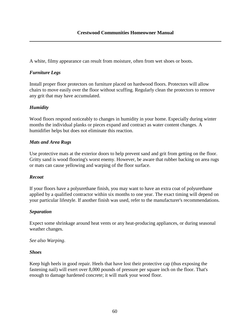A white, filmy appearance can result from moisture, often from wet shoes or boots.

# *Furniture Legs*

Install proper floor protectors on furniture placed on hardwood floors. Protectors will allow chairs to move easily over the floor without scuffing. Regularly clean the protectors to remove any grit that may have accumulated.

# *Humidity*

Wood floors respond noticeably to changes in humidity in your home. Especially during winter months the individual planks or pieces expand and contract as water content changes. A humidifier helps but does not eliminate this reaction.

# *Mats and Area Rugs*

Use protective mats at the exterior doors to help prevent sand and grit from getting on the floor. Gritty sand is wood flooring's worst enemy. However, be aware that rubber backing on area rugs or mats can cause yellowing and warping of the floor surface.

## *Recoat*

If your floors have a polyurethane finish, you may want to have an extra coat of polyurethane applied by a qualified contractor within six months to one year. The exact timing will depend on your particular lifestyle. If another finish was used, refer to the manufacturer's recommendations.

## *Separation*

Expect some shrinkage around heat vents or any heat-producing appliances, or during seasonal weather changes.

#### *See also Warping*.

#### *Shoes*

Keep high heels in good repair. Heels that have lost their protective cap (thus exposing the fastening nail) will exert over 8,000 pounds of pressure per square inch on the floor. That's enough to damage hardened concrete; it will mark your wood floor.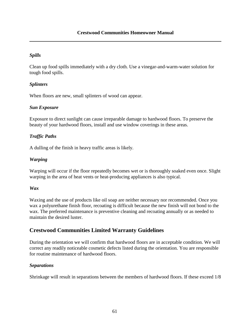# *Spills*

Clean up food spills immediately with a dry cloth. Use a vinegar-and-warm-water solution for tough food spills.

# *Splinters*

When floors are new, small splinters of wood can appear.

## *Sun Exposure*

Exposure to direct sunlight can cause irreparable damage to hardwood floors. To preserve the beauty of your hardwood floors, install and use window coverings in these areas.

# *Traffic Paths*

A dulling of the finish in heavy traffic areas is likely.

## *Warping*

Warping will occur if the floor repeatedly becomes wet or is thoroughly soaked even once. Slight warping in the area of heat vents or heat-producing appliances is also typical.

## *Wax*

Waxing and the use of products like oil soap are neither necessary nor recommended. Once you wax a polyurethane finish floor, recoating is difficult because the new finish will not bond to the wax. The preferred maintenance is preventive cleaning and recoating annually or as needed to maintain the desired luster.

# **Crestwood Communities Limited Warranty Guidelines**

During the orientation we will confirm that hardwood floors are in acceptable condition. We will correct any readily noticeable cosmetic defects listed during the orientation. You are responsible for routine maintenance of hardwood floors.

## *Separations*

Shrinkage will result in separations between the members of hardwood floors. If these exceed 1/8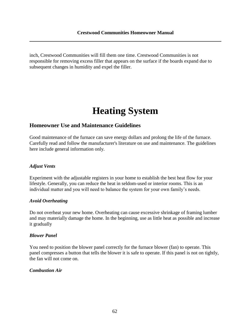inch, Crestwood Communities will fill them one time. Crestwood Communities is not responsible for removing excess filler that appears on the surface if the boards expand due to subsequent changes in humidity and expel the filler.

# **Heating System**

# **Homeowner Use and Maintenance Guidelines**

Good maintenance of the furnace can save energy dollars and prolong the life of the furnace. Carefully read and follow the manufacturer's literature on use and maintenance. The guidelines here include general information only.

## *Adjust Vents*

Experiment with the adjustable registers in your home to establish the best heat flow for your lifestyle. Generally, you can reduce the heat in seldom-used or interior rooms. This is an individual matter and you will need to balance the system for your own family's needs.

## *Avoid Overheating*

Do not overheat your new home. Overheating can cause excessive shrinkage of framing lumber and may materially damage the home. In the beginning, use as little heat as possible and increase it gradually

## *Blower Panel*

You need to position the blower panel correctly for the furnace blower (fan) to operate. This panel compresses a button that tells the blower it is safe to operate. If this panel is not on tightly, the fan will not come on.

## *Combustion Air*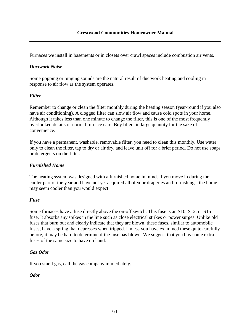Furnaces we install in basements or in closets over crawl spaces include combustion air vents.

#### *Ductwork Noise*

Some popping or pinging sounds are the natural result of ductwork heating and cooling in response to air flow as the system operates.

#### *Filter*

Remember to change or clean the filter monthly during the heating season (year-round if you also have air conditioning). A clogged filter can slow air flow and cause cold spots in your home. Although it takes less than one minute to change the filter, this is one of the most frequently overlooked details of normal furnace care. Buy filters in large quantity for the sake of convenience.

If you have a permanent, washable, removable filter, you need to clean this monthly. Use water only to clean the filter, tap to dry or air dry, and leave unit off for a brief period. Do not use soaps or detergents on the filter.

#### *Furnished Home*

The heating system was designed with a furnished home in mind. If you move in during the cooler part of the year and have not yet acquired all of your draperies and furnishings, the home may seem cooler than you would expect.

#### *Fuse*

Some furnaces have a fuse directly above the on-off switch. This fuse is an S10, S12, or S15 fuse. It absorbs any spikes in the line such as close electrical strikes or power surges. Unlike old fuses that burn out and clearly indicate that they are blown, these fuses, similar to automobile fuses, have a spring that depresses when tripped. Unless you have examined these quite carefully before, it may be hard to determine if the fuse has blown. We suggest that you buy some extra fuses of the same size to have on hand.

#### *Gas Odor*

If you smell gas, call the gas company immediately.

## *Odor*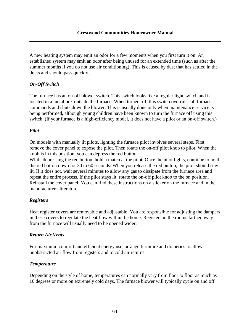A new heating system may emit an odor for a few moments when you first turn it on. An established system may emit an odor after being unused for an extended time (such as after the summer months if you do not use air conditioning). This is caused by dust that has settled in the ducts and should pass quickly.

## *On-Off Switch*

The furnace has an on-off blower switch. This switch looks like a regular light switch and is located in a metal box outside the furnace. When turned off, this switch overrides all furnace commands and shuts down the blower. This is usually done only when maintenance service is being performed, although young children have been known to turn the furnace off using this switch. (If your furnace is a high-efficiency model, it does not have a pilot or an on-off switch.)

#### *Pilot*

On models with manually lit pilots, lighting the furnace pilot involves several steps. First, remove the cover panel to expose the pilot. Then rotate the on-off pilot knob to pilot. When the knob is in this position, you can depress the red button.

While depressing the red button, hold a match at the pilot. Once the pilot lights, continue to hold the red button down for 30 to 60 seconds. When you release the red button, the pilot should stay lit. If it does not, wait several minutes to allow any gas to dissipate from the furnace area and repeat the entire process. If the pilot stays lit, rotate the on-off pilot knob to the on position. Reinstall the cover panel. You can find these instructions on a sticker on the furnace and in the manufacturer's literature.

#### *Registers*

Heat register covers are removable and adjustable. You are responsible for adjusting the dampers in these covers to regulate the heat flow within the home. Registers in the rooms farther away from the furnace will usually need to be opened wider.

#### *Return Air Vents*

For maximum comfort and efficient energy use, arrange furniture and draperies to allow unobstructed air flow from registers and to cold air returns.

#### *Temperature*

Depending on the style of home, temperatures can normally vary from floor to floor as much as 10 degrees or more on extremely cold days. The furnace blower will typically cycle on and off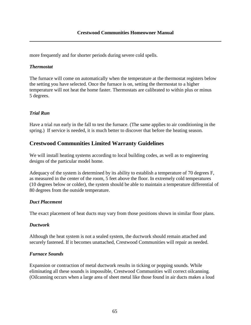more frequently and for shorter periods during severe cold spells.

### *Thermostat*

The furnace will come on automatically when the temperature at the thermostat registers below the setting you have selected. Once the furnace is on, setting the thermostat to a higher temperature will not heat the home faster. Thermostats are calibrated to within plus or minus 5 degrees.

# *Trial Run*

Have a trial run early in the fall to test the furnace. (The same applies to air conditioning in the spring.) If service is needed, it is much better to discover that before the heating season.

# **Crestwood Communities Limited Warranty Guidelines**

We will install heating systems according to local building codes, as well as to engineering designs of the particular model home.

Adequacy of the system is determined by its ability to establish a temperature of 70 degrees F, as measured in the center of the room, 5 feet above the floor. In extremely cold temperatures (10 degrees below or colder), the system should be able to maintain a temperature differential of 80 degrees from the outside temperature.

## *Duct Placement*

The exact placement of heat ducts may vary from those positions shown in similar floor plans.

## *Ductwork*

Although the heat system is not a sealed system, the ductwork should remain attached and securely fastened. If it becomes unattached, Crestwood Communities will repair as needed.

## *Furnace Sounds*

Expansion or contraction of metal ductwork results in ticking or popping sounds. While eliminating all these sounds is impossible, Crestwood Communities will correct oilcanning. (Oilcanning occurs when a large area of sheet metal like those found in air ducts makes a loud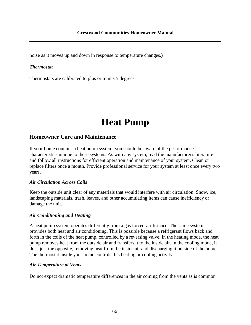noise as it moves up and down in response to temperature changes.)

#### *Thermostat*

Thermostats are calibrated to plus or minus 5 degrees.

# **Heat Pump**

# **Homeowner Care and Maintenance**

If your home contains a heat pump system, you should be aware of the performance characteristics unique to these systems. As with any system, read the manufacturer's literature and follow all instructions for efficient operation and maintenance of your system. Clean or replace filters once a month. Provide professional service for your system at least once every two years.

#### *Air Circulation Across Coils*

Keep the outside unit clear of any materials that would interfere with air circulation. Snow, ice, landscaping materials, trash, leaves, and other accumulating items can cause inefficiency or damage the unit.

#### *Air Conditioning and Heating*

A heat pump system operates differently from a gas forced-air furnace. The same system provides both heat and air conditioning. This is possible because a refrigerant flows back and forth in the coils of the heat pump, controlled by a reversing valve. In the heating mode, the heat pump removes heat from the outside air and transfers it to the inside air. In the cooling mode, it does just the opposite, removing heat from the inside air and discharging it outside of the home. The thermostat inside your home controls this heating or cooling activity.

#### *Air Temperature at Vents*

Do not expect dramatic temperature differences in the air coming from the vents as is common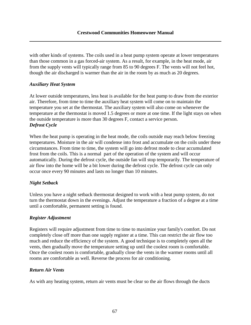with other kinds of systems. The coils used in a heat pump system operate at lower temperatures than those common in a gas forced-air system. As a result, for example, in the heat mode, air from the supply vents will typically range from 85 to 90 degrees F. The vents will not feel hot, though the air discharged is warmer than the air in the room by as much as 20 degrees.

#### *Auxiliary Heat System*

At lower outside temperatures, less heat is available for the heat pump to draw from the exterior air. Therefore, from time to time the auxiliary heat system will come on to maintain the temperature you set at the thermostat. The auxiliary system will also come on whenever the temperature at the thermostat is moved 1.5 degrees or more at one time. If the light stays on when the outside temperature is more than 30 degrees F, contact a service person. *Defrost Cycle*

When the heat pump is operating in the heat mode, the coils outside may reach below freezing temperatures. Moisture in the air will condense into frost and accumulate on the coils under these circumstances. From time to time, the system will go into defrost mode to clear accumulated frost from the coils. This is a normal part of the operation of the system and will occur automatically. During the defrost cycle, the outside fan will stop temporarily. The temperature of air flow into the home will be a bit lower during the defrost cycle. The defrost cycle can only occur once every 90 minutes and lasts no longer than 10 minutes.

## *Night Setback*

Unless you have a night setback thermostat designed to work with a heat pump system, do not turn the thermostat down in the evenings. Adjust the temperature a fraction of a degree at a time until a comfortable, permanent setting is found.

#### *Register Adjustment*

Registers will require adjustment from time to time to maximize your family's comfort. Do not completely close off more than one supply register at a time. This can restrict the air flow too much and reduce the efficiency of the system. A good technique is to completely open all the vents, then gradually move the temperature setting up until the coolest room is comfortable. Once the coolest room is comfortable, gradually close the vents in the warmer rooms until all rooms are comfortable as well. Reverse the process for air conditioning.

#### *Return Air Vents*

As with any heating system, return air vents must be clear so the air flows through the ducts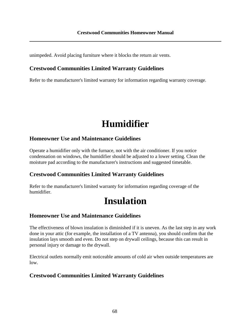unimpeded. Avoid placing furniture where it blocks the return air vents.

# **Crestwood Communities Limited Warranty Guidelines**

Refer to the manufacturer's limited warranty for information regarding warranty coverage.

# **Humidifier**

# **Homeowner Use and Maintenance Guidelines**

Operate a humidifier only with the furnace, not with the air conditioner. If you notice condensation on windows, the humidifier should be adjusted to a lower setting. Clean the moisture pad according to the manufacturer's instructions and suggested timetable.

# **Crestwood Communities Limited Warranty Guidelines**

Refer to the manufacturer's limited warranty for information regarding coverage of the humidifier.

# **Insulation**

# **Homeowner Use and Maintenance Guidelines**

The effectiveness of blown insulation is diminished if it is uneven. As the last step in any work done in your attic (for example, the installation of a TV antenna), you should confirm that the insulation lays smooth and even. Do not step on drywall ceilings, because this can result in personal injury or damage to the drywall.

Electrical outlets normally emit noticeable amounts of cold air when outside temperatures are low.

# **Crestwood Communities Limited Warranty Guidelines**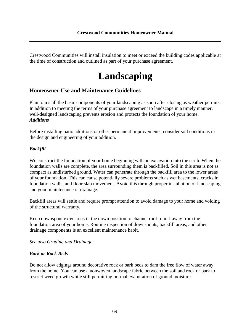Crestwood Communities will install insulation to meet or exceed the building codes applicable at the time of construction and outlined as part of your purchase agreement.

# **Landscaping**

# **Homeowner Use and Maintenance Guidelines**

Plan to install the basic components of your landscaping as soon after closing as weather permits. In addition to meeting the terms of your purchase agreement to landscape in a timely manner, well-designed landscaping prevents erosion and protects the foundation of your home. *Additions*

Before installing patio additions or other permanent improvements, consider soil conditions in the design and engineering of your addition.

## *Backfill*

We construct the foundation of your home beginning with an excavation into the earth. When the foundation walls are complete, the area surrounding them is backfilled. Soil in this area is not as compact as undisturbed ground. Water can penetrate through the backfill area to the lower areas of your foundation. This can cause potentially severe problems such as wet basements, cracks in foundation walls, and floor slab movement. Avoid this through proper installation of landscaping and good maintenance of drainage.

Backfill areas will settle and require prompt attention to avoid damage to your home and voiding of the structural warranty.

Keep downspout extensions in the down position to channel roof runoff away from the foundation area of your home. Routine inspection of downspouts, backfill areas, and other drainage components is an excellent maintenance habit.

*See also Grading and Drainage*.

## *Bark or Rock Beds*

Do not allow edgings around decorative rock or bark beds to dam the free flow of water away from the home. You can use a nonwoven landscape fabric between the soil and rock or bark to restrict weed growth while still permitting normal evaporation of ground moisture.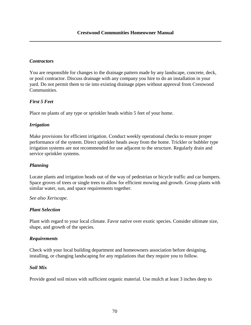## *Contractors*

You are responsible for changes to the drainage pattern made by any landscape, concrete, deck, or pool contractor. Discuss drainage with any company you hire to do an installation in your yard. Do not permit them to tie into existing drainage pipes without approval from Crestwood Communities.

## *First 5 Feet*

Place no plants of any type or sprinkler heads within 5 feet of your home.

#### *Irrigation*

Make provisions for efficient irrigation. Conduct weekly operational checks to ensure proper performance of the system. Direct sprinkler heads away from the home. Trickler or bubbler type irrigation systems are not recommended for use adjacent to the structure. Regularly drain and service sprinkler systems.

### *Planning*

Locate plants and irrigation heads out of the way of pedestrian or bicycle traffic and car bumpers. Space groves of trees or single trees to allow for efficient mowing and growth. Group plants with similar water, sun, and space requirements together.

#### *See also Xeriscape*.

#### *Plant Selection*

Plant with regard to your local climate. Favor native over exotic species. Consider ultimate size, shape, and growth of the species.

#### *Requirements*

Check with your local building department and homeowners association before designing, installing, or changing landscaping for any regulations that they require you to follow.

#### *Soil Mix*

Provide good soil mixes with sufficient organic material. Use mulch at least 3 inches deep to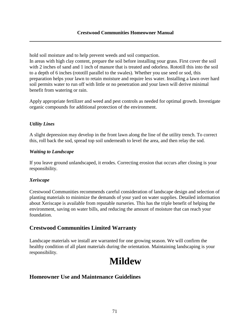hold soil moisture and to help prevent weeds and soil compaction.

In areas with high clay content, prepare the soil before installing your grass. First cover the soil with 2 inches of sand and 1 inch of manure that is treated and odorless. Rototill this into the soil to a depth of 6 inches (rototill parallel to the swales). Whether you use seed or sod, this preparation helps your lawn to retain moisture and require less water. Installing a lawn over hard soil permits water to run off with little or no penetration and your lawn will derive minimal benefit from watering or rain.

Apply appropriate fertilizer and weed and pest controls as needed for optimal growth. Investigate organic compounds for additional protection of the environment.

# *Utility Lines*

A slight depression may develop in the front lawn along the line of the utility trench. To correct this, roll back the sod, spread top soil underneath to level the area, and then relay the sod.

# *Waiting to Landscape*

If you leave ground unlandscaped, it erodes. Correcting erosion that occurs after closing is your responsibility.

# *Xeriscape*

Crestwood Communities recommends careful consideration of landscape design and selection of planting materials to minimize the demands of your yard on water supplies. Detailed information about Xeriscape is available from reputable nurseries. This has the triple benefit of helping the environment, saving on water bills, and reducing the amount of moisture that can reach your foundation.

# **Crestwood Communities Limited Warranty**

Landscape materials we install are warranted for one growing season. We will confirm the healthy condition of all plant materials during the orientation. Maintaining landscaping is your responsibility.

# **Mildew**

# **Homeowner Use and Maintenance Guidelines**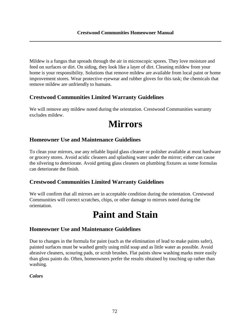Mildew is a fungus that spreads through the air in microscopic spores. They love moisture and feed on surfaces or dirt. On siding, they look like a layer of dirt. Cleaning mildew from your home is your responsibility. Solutions that remove mildew are available from local paint or home improvement stores. Wear protective eyewear and rubber gloves for this task; the chemicals that remove mildew are unfriendly to humans.

# **Crestwood Communities Limited Warranty Guidelines**

We will remove any mildew noted during the orientation. Crestwood Communities warranty excludes mildew.

# **Mirrors**

# **Homeowner Use and Maintenance Guidelines**

To clean your mirrors, use any reliable liquid glass cleaner or polisher available at most hardware or grocery stores. Avoid acidic cleaners and splashing water under the mirror; either can cause the silvering to deteriorate. Avoid getting glass cleaners on plumbing fixtures as some formulas can deteriorate the finish.

# **Crestwood Communities Limited Warranty Guidelines**

We will confirm that all mirrors are in acceptable condition during the orientation. Crestwood Communities will correct scratches, chips, or other damage to mirrors noted during the orientation.

# **Paint and Stain**

# **Homeowner Use and Maintenance Guidelines**

Due to changes in the formula for paint (such as the elimination of lead to make paints safer), painted surfaces must be washed gently using mild soap and as little water as possible. Avoid abrasive cleaners, scouring pads, or scrub brushes. Flat paints show washing marks more easily than gloss paints do. Often, homeowners prefer the results obtained by touching up rather than washing.

*Colors*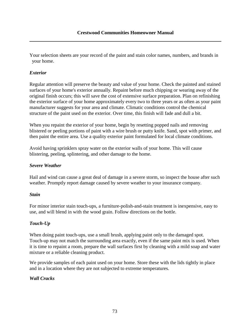Your selection sheets are your record of the paint and stain color names, numbers, and brands in your home.

#### *Exterior*

Regular attention will preserve the beauty and value of your home. Check the painted and stained surfaces of your home's exterior annually. Repaint before much chipping or wearing away of the original finish occurs; this will save the cost of extensive surface preparation. Plan on refinishing the exterior surface of your home approximately every two to three years or as often as your paint manufacturer suggests for your area and climate. Climatic conditions control the chemical structure of the paint used on the exterior. Over time, this finish will fade and dull a bit.

When you repaint the exterior of your home, begin by resetting popped nails and removing blistered or peeling portions of paint with a wire brush or putty knife. Sand, spot with primer, and then paint the entire area. Use a quality exterior paint formulated for local climate conditions.

Avoid having sprinklers spray water on the exterior walls of your home. This will cause blistering, peeling, splintering, and other damage to the home.

#### *Severe Weather*

Hail and wind can cause a great deal of damage in a severe storm, so inspect the house after such weather. Promptly report damage caused by severe weather to your insurance company.

#### *Stain*

For minor interior stain touch-ups, a furniture-polish-and-stain treatment is inexpensive, easy to use, and will blend in with the wood grain. Follow directions on the bottle.

## *Touch-Up*

When doing paint touch-ups, use a small brush, applying paint only to the damaged spot. Touch-up may not match the surrounding area exactly, even if the same paint mix is used. When it is time to repaint a room, prepare the wall surfaces first by cleaning with a mild soap and water mixture or a reliable cleaning product.

We provide samples of each paint used on your home. Store these with the lids tightly in place and in a location where they are not subjected to extreme temperatures.

#### *Wall Cracks*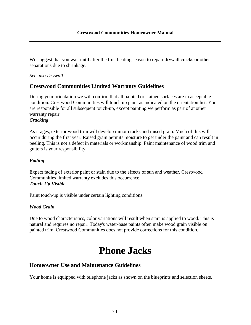We suggest that you wait until after the first heating season to repair drywall cracks or other separations due to shrinkage.

*See also Drywall*.

## **Crestwood Communities Limited Warranty Guidelines**

During your orientation we will confirm that all painted or stained surfaces are in acceptable condition. Crestwood Communities will touch up paint as indicated on the orientation list. You are responsible for all subsequent touch-up, except painting we perform as part of another warranty repair.

#### *Cracking*

As it ages, exterior wood trim will develop minor cracks and raised grain. Much of this will occur during the first year. Raised grain permits moisture to get under the paint and can result in peeling. This is not a defect in materials or workmanship. Paint maintenance of wood trim and gutters is your responsibility.

#### *Fading*

Expect fading of exterior paint or stain due to the effects of sun and weather. Crestwood Communities limited warranty excludes this occurrence. *Touch-Up Visible*

Paint touch-up is visible under certain lighting conditions.

#### *Wood Grain*

Due to wood characteristics, color variations will result when stain is applied to wood. This is natural and requires no repair. Today's water-base paints often make wood grain visible on painted trim. Crestwood Communities does not provide corrections for this condition.

## **Phone Jacks**

## **Homeowner Use and Maintenance Guidelines**

Your home is equipped with telephone jacks as shown on the blueprints and selection sheets.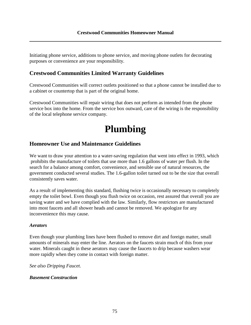Initiating phone service, additions to phone service, and moving phone outlets for decorating purposes or convenience are your responsibility.

## **Crestwood Communities Limited Warranty Guidelines**

Crestwood Communities will correct outlets positioned so that a phone cannot be installed due to a cabinet or countertop that is part of the original home.

Crestwood Communities will repair wiring that does not perform as intended from the phone service box into the home. From the service box outward, care of the wiring is the responsibility of the local telephone service company.

# **Plumbing**

## **Homeowner Use and Maintenance Guidelines**

We want to draw your attention to a water-saving regulation that went into effect in 1993, which prohibits the manufacture of toilets that use more than 1.6 gallons of water per flush. In the search for a balance among comfort, convenience, and sensible use of natural resources, the government conducted several studies. The 1.6-gallon toilet turned out to be the size that overall consistently saves water.

As a result of implementing this standard, flushing twice is occasionally necessary to completely empty the toilet bowl. Even though you flush twice on occasion, rest assured that overall you are saving water and we have complied with the law. Similarly, flow restrictors are manufactured into most faucets and all shower heads and cannot be removed. We apologize for any inconvenience this may cause.

#### *Aerators*

Even though your plumbing lines have been flushed to remove dirt and foreign matter, small amounts of minerals may enter the line. Aerators on the faucets strain much of this from your water. Minerals caught in these aerators may cause the faucets to drip because washers wear more rapidly when they come in contact with foreign matter.

*See also Dripping Faucet.*

#### *Basement Construction*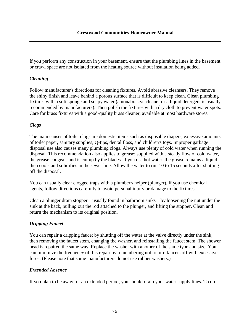If you perform any construction in your basement, ensure that the plumbing lines in the basement or crawl space are not isolated from the heating source without insulation being added.

#### *Cleaning*

Follow manufacturer's directions for cleaning fixtures. Avoid abrasive cleansers. They remove the shiny finish and leave behind a porous surface that is difficult to keep clean. Clean plumbing fixtures with a soft sponge and soapy water (a nonabrasive cleaner or a liquid detergent is usually recommended by manufacturers). Then polish the fixtures with a dry cloth to prevent water spots. Care for brass fixtures with a good-quality brass cleaner, available at most hardware stores.

#### *Clogs*

The main causes of toilet clogs are domestic items such as disposable diapers, excessive amounts of toilet paper, sanitary supplies, Q-tips, dental floss, and children's toys. Improper garbage disposal use also causes many plumbing clogs. Always use plenty of cold water when running the disposal. This recommendation also applies to grease; supplied with a steady flow of cold water, the grease congeals and is cut up by the blades. If you use hot water, the grease remains a liquid, then cools and solidifies in the sewer line. Allow the water to run 10 to 15 seconds after shutting off the disposal.

You can usually clear clogged traps with a plumber's helper (plunger). If you use chemical agents, follow directions carefully to avoid personal injury or damage to the fixtures.

Clean a plunger drain stopper—usually found in bathroom sinks—by loosening the nut under the sink at the back, pulling out the rod attached to the plunger, and lifting the stopper. Clean and return the mechanism to its original position.

#### *Dripping Faucet*

You can repair a dripping faucet by shutting off the water at the valve directly under the sink, then removing the faucet stem, changing the washer, and reinstalling the faucet stem. The shower head is repaired the same way. Replace the washer with another of the same type and size. You can minimize the frequency of this repair by remembering not to turn faucets off with excessive force. (Please note that some manufacturers do not use rubber washers.)

#### *Extended Absence*

If you plan to be away for an extended period, you should drain your water supply lines. To do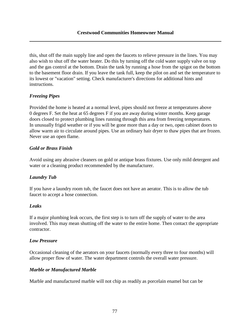this, shut off the main supply line and open the faucets to relieve pressure in the lines. You may also wish to shut off the water heater. Do this by turning off the cold water supply valve on top and the gas control at the bottom. Drain the tank by running a hose from the spigot on the bottom to the basement floor drain. If you leave the tank full, keep the pilot on and set the temperature to its lowest or "vacation" setting. Check manufacturer's directions for additional hints and instructions.

#### *Freezing Pipes*

Provided the home is heated at a normal level, pipes should not freeze at temperatures above 0 degrees F. Set the heat at 65 degrees F if you are away during winter months. Keep garage doors closed to protect plumbing lines running through this area from freezing temperatures. In unusually frigid weather or if you will be gone more than a day or two, open cabinet doors to allow warm air to circulate around pipes. Use an ordinary hair dryer to thaw pipes that are frozen. Never use an open flame.

#### *Gold or Brass Finish*

Avoid using any abrasive cleaners on gold or antique brass fixtures. Use only mild detergent and water or a cleaning product recommended by the manufacturer.

#### *Laundry Tub*

If you have a laundry room tub, the faucet does not have an aerator. This is to allow the tub faucet to accept a hose connection.

#### *Leaks*

If a major plumbing leak occurs, the first step is to turn off the supply of water to the area involved. This may mean shutting off the water to the entire home. Then contact the appropriate contractor.

#### *Low Pressure*

Occasional cleaning of the aerators on your faucets (normally every three to four months) will allow proper flow of water. The water department controls the overall water pressure.

#### *Marble or Manufactured Marble*

Marble and manufactured marble will not chip as readily as porcelain enamel but can be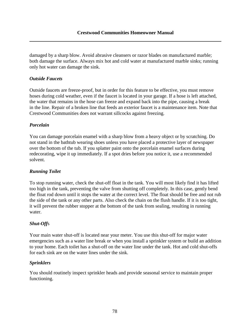damaged by a sharp blow. Avoid abrasive cleansers or razor blades on manufactured marble; both damage the surface. Always mix hot and cold water at manufactured marble sinks; running only hot water can damage the sink.

#### *Outside Faucets*

Outside faucets are freeze-proof, but in order for this feature to be effective, you must remove hoses during cold weather, even if the faucet is located in your garage. If a hose is left attached, the water that remains in the hose can freeze and expand back into the pipe, causing a break in the line. Repair of a broken line that feeds an exterior faucet is a maintenance item. Note that Crestwood Communities does not warrant sillcocks against freezing.

#### *Porcelain*

You can damage porcelain enamel with a sharp blow from a heavy object or by scratching. Do not stand in the bathtub wearing shoes unless you have placed a protective layer of newspaper over the bottom of the tub. If you splatter paint onto the porcelain enamel surfaces during redecorating, wipe it up immediately. If a spot dries before you notice it, use a recommended solvent.

#### *Running Toilet*

To stop running water, check the shut-off float in the tank. You will most likely find it has lifted too high in the tank, preventing the valve from shutting off completely. In this case, gently bend the float rod down until it stops the water at the correct level. The float should be free and not rub the side of the tank or any other parts. Also check the chain on the flush handle. If it is too tight, it will prevent the rubber stopper at the bottom of the tank from sealing, resulting in running water.

#### *Shut-Off*s

Your main water shut-off is located near your meter. You use this shut-off for major water emergencies such as a water line break or when you install a sprinkler system or build an addition to your home. Each toilet has a shut-off on the water line under the tank. Hot and cold shut-offs for each sink are on the water lines under the sink.

#### *Sprinklers*

You should routinely inspect sprinkler heads and provide seasonal service to maintain proper functioning.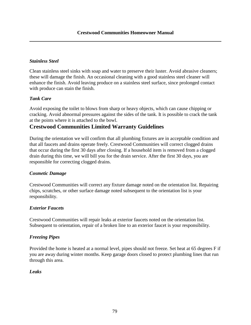#### *Stainless Steel*

Clean stainless steel sinks with soap and water to preserve their luster. Avoid abrasive cleaners; these will damage the finish. An occasional cleaning with a good stainless steel cleaner will enhance the finish. Avoid leaving produce on a stainless steel surface, since prolonged contact with produce can stain the finish.

#### *Tank Care*

Avoid exposing the toilet to blows from sharp or heavy objects, which can cause chipping or cracking. Avoid abnormal pressures against the sides of the tank. It is possible to crack the tank at the points where it is attached to the bowl.

## **Crestwood Communities Limited Warranty Guidelines**

During the orientation we will confirm that all plumbing fixtures are in acceptable condition and that all faucets and drains operate freely. Crestwood Communities will correct clogged drains that occur during the first 30 days after closing. If a household item is removed from a clogged drain during this time, we will bill you for the drain service. After the first 30 days, you are responsible for correcting clogged drains.

#### *Cosmetic Damage*

Crestwood Communities will correct any fixture damage noted on the orientation list. Repairing chips, scratches, or other surface damage noted subsequent to the orientation list is your responsibility.

#### *Exterior Faucets*

Crestwood Communities will repair leaks at exterior faucets noted on the orientation list. Subsequent to orientation, repair of a broken line to an exterior faucet is your responsibility.

## *Freezing Pipes*

Provided the home is heated at a normal level, pipes should not freeze. Set heat at 65 degrees F if you are away during winter months. Keep garage doors closed to protect plumbing lines that run through this area.

#### *Leaks*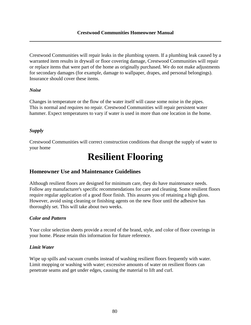Crestwood Communities will repair leaks in the plumbing system. If a plumbing leak caused by a warranted item results in drywall or floor covering damage, Crestwood Communities will repair or replace items that were part of the home as originally purchased. We do not make adjustments for secondary damages (for example, damage to wallpaper, drapes, and personal belongings). Insurance should cover these items.

#### *Noise*

Changes in temperature or the flow of the water itself will cause some noise in the pipes. This is normal and requires no repair. Crestwood Communities will repair persistent water hammer. Expect temperatures to vary if water is used in more than one location in the home.

#### *Supply*

Crestwood Communities will correct construction conditions that disrupt the supply of water to your home

## **Resilient Flooring**

## **Homeowner Use and Maintenance Guidelines**

Although resilient floors are designed for minimum care, they do have maintenance needs. Follow any manufacturer's specific recommendations for care and cleaning. Some resilient floors require regular application of a good floor finish. This assures you of retaining a high gloss. However, avoid using cleaning or finishing agents on the new floor until the adhesive has thoroughly set. This will take about two weeks.

#### *Color and Pattern*

Your color selection sheets provide a record of the brand, style, and color of floor coverings in your home. Please retain this information for future reference.

#### *Limit Water*

Wipe up spills and vacuum crumbs instead of washing resilient floors frequently with water. Limit mopping or washing with water; excessive amounts of water on resilient floors can penetrate seams and get under edges, causing the material to lift and curl.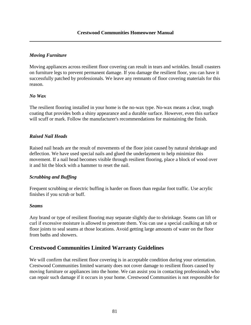#### *Moving Furniture*

Moving appliances across resilient floor covering can result in tears and wrinkles. Install coasters on furniture legs to prevent permanent damage. If you damage the resilient floor, you can have it successfully patched by professionals. We leave any remnants of floor covering materials for this reason.

#### *No Wax*

The resilient flooring installed in your home is the no-wax type. No-wax means a clear, tough coating that provides both a shiny appearance and a durable surface. However, even this surface will scuff or mark. Follow the manufacturer's recommendations for maintaining the finish.

#### *Raised Nail Heads*

Raised nail heads are the result of movements of the floor joist caused by natural shrinkage and deflection. We have used special nails and glued the underlayment to help minimize this movement. If a nail head becomes visible through resilient flooring, place a block of wood over it and hit the block with a hammer to reset the nail.

#### *Scrubbing and Buffing*

Frequent scrubbing or electric buffing is harder on floors than regular foot traffic. Use acrylic finishes if you scrub or buff.

#### *Seams*

Any brand or type of resilient flooring may separate slightly due to shrinkage. Seams can lift or curl if excessive moisture is allowed to penetrate them. You can use a special caulking at tub or floor joints to seal seams at those locations. Avoid getting large amounts of water on the floor from baths and showers.

## **Crestwood Communities Limited Warranty Guidelines**

We will confirm that resilient floor covering is in acceptable condition during your orientation. Crestwood Communities limited warranty does not cover damage to resilient floors caused by moving furniture or appliances into the home. We can assist you in contacting professionals who can repair such damage if it occurs in your home. Crestwood Communities is not responsible for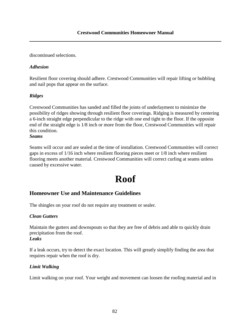discontinued selections.

#### *Adhesion*

Resilient floor covering should adhere. Crestwood Communities will repair lifting or bubbling and nail pops that appear on the surface.

#### *Ridges*

Crestwood Communities has sanded and filled the joints of underlayment to minimize the possibility of ridges showing through resilient floor coverings. Ridging is measured by centering a 6-inch straight edge perpendicular to the ridge with one end tight to the floor. If the opposite end of the straight edge is 1/8 inch or more from the floor, Crestwood Communities will repair this condition.

### *Seams*

Seams will occur and are sealed at the time of installation. Crestwood Communities will correct gaps in excess of 1/16 inch where resilient flooring pieces meet or 1/8 inch where resilient flooring meets another material. Crestwood Communities will correct curling at seams unless caused by excessive water.

# **Roof**

## **Homeowner Use and Maintenance Guidelines**

The shingles on your roof do not require any treatment or sealer.

#### *Clean Gutters*

Maintain the gutters and downspouts so that they are free of debris and able to quickly drain precipitation from the roof.

### *Leaks*

If a leak occurs, try to detect the exact location. This will greatly simplify finding the area that requires repair when the roof is dry.

## *Limit Walking*

Limit walking on your roof. Your weight and movement can loosen the roofing material and in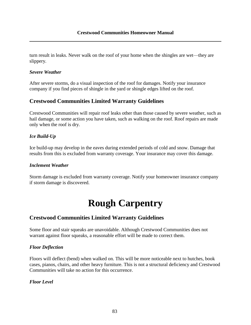turn result in leaks. Never walk on the roof of your home when the shingles are wet—they are slippery.

#### *Severe Weather*

After severe storms, do a visual inspection of the roof for damages. Notify your insurance company if you find pieces of shingle in the yard or shingle edges lifted on the roof.

## **Crestwood Communities Limited Warranty Guidelines**

Crestwood Communities will repair roof leaks other than those caused by severe weather, such as hail damage, or some action you have taken, such as walking on the roof. Roof repairs are made only when the roof is dry.

#### *Ice Build-Up*

Ice build-up may develop in the eaves during extended periods of cold and snow. Damage that results from this is excluded from warranty coverage. Your insurance may cover this damage.

#### *Inclement Weather*

Storm damage is excluded from warranty coverage. Notify your homeowner insurance company if storm damage is discovered.

# **Rough Carpentry**

## **Crestwood Communities Limited Warranty Guidelines**

Some floor and stair squeaks are unavoidable. Although Crestwood Communities does not warrant against floor squeaks, a reasonable effort will be made to correct them.

#### *Floor Deflection*

Floors will deflect (bend) when walked on. This will be more noticeable next to hutches, book cases, pianos, chairs, and other heavy furniture. This is not a structural deficiency and Crestwood Communities will take no action for this occurrence.

#### *Floor Level*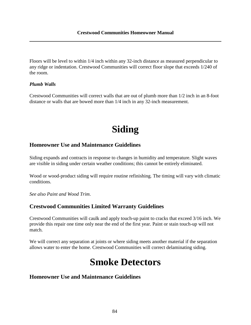Floors will be level to within 1/4 inch within any 32-inch distance as measured perpendicular to any ridge or indentation. Crestwood Communities will correct floor slope that exceeds 1/240 of the room.

#### *Plumb Walls*

Crestwood Communities will correct walls that are out of plumb more than 1/2 inch in an 8-foot distance or walls that are bowed more than 1/4 inch in any 32-inch measurement.

# **Siding**

## **Homeowner Use and Maintenance Guidelines**

Siding expands and contracts in response to changes in humidity and temperature. Slight waves are visible in siding under certain weather conditions; this cannot be entirely eliminated.

Wood or wood-product siding will require routine refinishing. The timing will vary with climatic conditions.

*See also Paint and Wood Trim*.

## **Crestwood Communities Limited Warranty Guidelines**

Crestwood Communities will caulk and apply touch-up paint to cracks that exceed 3/16 inch. We provide this repair one time only near the end of the first year. Paint or stain touch-up will not match.

We will correct any separation at joints or where siding meets another material if the separation allows water to enter the home. Crestwood Communities will correct delaminating siding.

# **Smoke Detectors**

## **Homeowner Use and Maintenance Guidelines**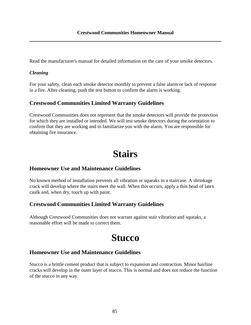Read the manufacturer's manual for detailed information on the care of your smoke detectors.

#### *Cleaning*

For your safety, clean each smoke detector monthly to prevent a false alarm or lack of response in a fire. After cleaning, push the test button to confirm the alarm is working.

## **Crestwood Communities Limited Warranty Guidelines**

Crestwood Communities does not represent that the smoke detectors will provide the protection for which they are installed or intended. We will test smoke detectors during the orientation to confirm that they are working and to familiarize you with the alarm. You are responsible for obtaining fire insurance.

## **Stairs**

## **Homeowner Use and Maintenance Guidelines**

No known method of installation prevents all vibration or squeaks in a staircase. A shrinkage crack will develop where the stairs meet the wall. When this occurs, apply a thin bead of latex caulk and, when dry, touch up with paint.

## **Crestwood Communities Limited Warranty Guidelines**

Although Crestwood Communities does not warrant against stair vibration and squeaks, a reasonable effort will be made to correct them.

## **Stucco**

## **Homeowner Use and Maintenance Guidelines**

Stucco is a brittle cement product that is subject to expansion and contraction. Minor hairline cracks will develop in the outer layer of stucco. This is normal and does not reduce the function of the stucco in any way.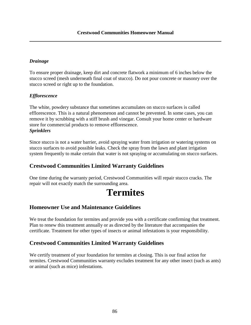#### *Drainage*

To ensure proper drainage, keep dirt and concrete flatwork a minimum of 6 inches below the stucco screed (mesh underneath final coat of stucco). Do not pour concrete or masonry over the stucco screed or right up to the foundation.

## *Efflorescence*

The white, powdery substance that sometimes accumulates on stucco surfaces is called efflorescence. This is a natural phenomenon and cannot be prevented. In some cases, you can remove it by scrubbing with a stiff brush and vinegar. Consult your home center or hardware store for commercial products to remove efflorescence. *Sprinklers*

Since stucco is not a water barrier, avoid spraying water from irrigation or watering systems on stucco surfaces to avoid possible leaks. Check the spray from the lawn and plant irrigation system frequently to make certain that water is not spraying or accumulating on stucco surfaces.

## **Crestwood Communities Limited Warranty Guidelines**

One time during the warranty period, Crestwood Communities will repair stucco cracks. The repair will not exactly match the surrounding area.

# **Termites**

## **Homeowner Use and Maintenance Guidelines**

We treat the foundation for termites and provide you with a certificate confirming that treatment. Plan to renew this treatment annually or as directed by the literature that accompanies the certificate. Treatment for other types of insects or animal infestations is your responsibility.

## **Crestwood Communities Limited Warranty Guidelines**

We certify treatment of your foundation for termites at closing. This is our final action for termites. Crestwood Communities warranty excludes treatment for any other insect (such as ants) or animal (such as mice) infestations.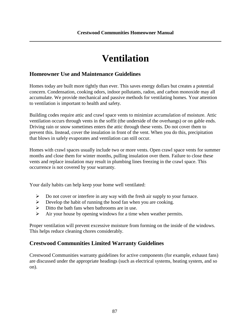## **Ventilation**

## **Homeowner Use and Maintenance Guidelines**

Homes today are built more tightly than ever. This saves energy dollars but creates a potential concern. Condensation, cooking odors, indoor pollutants, radon, and carbon monoxide may all accumulate. We provide mechanical and passive methods for ventilating homes. Your attention to ventilation is important to health and safety.

Building codes require attic and crawl space vents to minimize accumulation of moisture. Attic ventilation occurs through vents in the soffit (the underside of the overhangs) or on gable ends. Driving rain or snow sometimes enters the attic through these vents. Do not cover them to prevent this. Instead, cover the insulation in front of the vent. When you do this, precipitation that blows in safely evaporates and ventilation can still occur.

Homes with crawl spaces usually include two or more vents. Open crawl space vents for summer months and close them for winter months, pulling insulation over them. Failure to close these vents and replace insulation may result in plumbing lines freezing in the crawl space. This occurrence is not covered by your warranty.

Your daily habits can help keep your home well ventilated:

- $\triangleright$  Do not cover or interfere in any way with the fresh air supply to your furnace.
- $\triangleright$  Develop the habit of running the hood fan when you are cooking.
- $\triangleright$  Ditto the bath fans when bathrooms are in use.
- $\triangleright$  Air your house by opening windows for a time when weather permits.

Proper ventilation will prevent excessive moisture from forming on the inside of the windows. This helps reduce cleaning chores considerably.

## **Crestwood Communities Limited Warranty Guidelines**

Crestwood Communities warranty guidelines for active components (for example, exhaust fans) are discussed under the appropriate headings (such as electrical systems, heating system, and so on).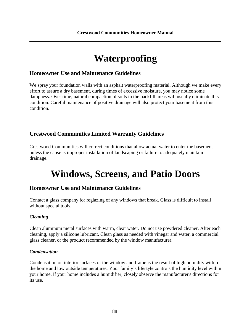# **Waterproofing**

## **Homeowner Use and Maintenance Guidelines**

We spray your foundation walls with an asphalt waterproofing material. Although we make every effort to assure a dry basement, during times of excessive moisture, you may notice some dampness. Over time, natural compaction of soils in the backfill areas will usually eliminate this condition. Careful maintenance of positive drainage will also protect your basement from this condition.

## **Crestwood Communities Limited Warranty Guidelines**

Crestwood Communities will correct conditions that allow actual water to enter the basement unless the cause is improper installation of landscaping or failure to adequately maintain drainage.

## **Windows, Screens, and Patio Doors**

## **Homeowner Use and Maintenance Guidelines**

Contact a glass company for reglazing of any windows that break. Glass is difficult to install without special tools.

#### *Cleaning*

Clean aluminum metal surfaces with warm, clear water. Do not use powdered cleaner. After each cleaning, apply a silicone lubricant. Clean glass as needed with vinegar and water, a commercial glass cleaner, or the product recommended by the window manufacturer.

#### *Condensation*

Condensation on interior surfaces of the window and frame is the result of high humidity within the home and low outside temperatures. Your family's lifestyle controls the humidity level within your home. If your home includes a humidifier, closely observe the manufacturer's directions for its use.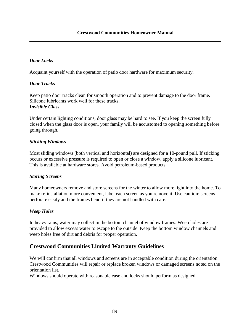#### *Door Locks*

Acquaint yourself with the operation of patio door hardware for maximum security.

#### *Door Tracks*

Keep patio door tracks clean for smooth operation and to prevent damage to the door frame. Silicone lubricants work well for these tracks. *Invisible Glass*

Under certain lighting conditions, door glass may be hard to see. If you keep the screen fully closed when the glass door is open, your family will be accustomed to opening something before going through.

#### *Sticking Windows*

Most sliding windows (both vertical and horizontal) are designed for a 10-pound pull. If sticking occurs or excessive pressure is required to open or close a window, apply a silicone lubricant. This is available at hardware stores. Avoid petroleum-based products.

#### *Storing Screens*

Many homeowners remove and store screens for the winter to allow more light into the home. To make re-installation more convenient, label each screen as you remove it. Use caution: screens perforate easily and the frames bend if they are not handled with care.

#### *Weep Holes*

In heavy rains, water may collect in the bottom channel of window frames. Weep holes are provided to allow excess water to escape to the outside. Keep the bottom window channels and weep holes free of dirt and debris for proper operation.

## **Crestwood Communities Limited Warranty Guidelines**

We will confirm that all windows and screens are in acceptable condition during the orientation. Crestwood Communities will repair or replace broken windows or damaged screens noted on the orientation list.

Windows should operate with reasonable ease and locks should perform as designed.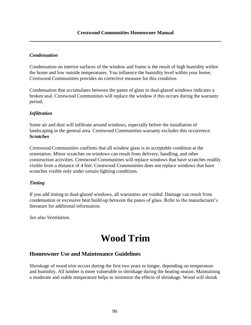#### *Condensation*

Condensation on interior surfaces of the window and frame is the result of high humidity within the home and low outside temperatures. You influence the humidity level within your home; Crestwood Communities provides no corrective measure for this condition.

Condensation that accumulates between the panes of glass in dual-glazed windows indicates a broken seal. Crestwood Communities will replace the window if this occurs during the warranty period.

#### *Infiltration*

Some air and dust will infiltrate around windows, especially before the installation of landscaping in the general area. Crestwood Communities warranty excludes this occurrence. *Scratches* 

Crestwood Communities confirms that all window glass is in acceptable condition at the orientation. Minor scratches on windows can result from delivery, handling, and other construction activities. Crestwood Communities will replace windows that have scratches readily visible from a distance of 4 feet. Crestwood Communities does not replace windows that have scratches visible only under certain lighting conditions.

#### *Tinting*

If you add tinting to dual-glazed windows, all warranties are voided. Damage can result from condensation or excessive heat build-up between the panes of glass. Refer to the manufacturer's literature for additional information.

*See also Ventilation.*

# **Wood Trim**

## **Homeowner Use and Maintenance Guidelines**

Shrinkage of wood trim occurs during the first two years or longer, depending on temperature and humidity. All lumber is more vulnerable to shrinkage during the heating season. Maintaining a moderate and stable temperature helps to minimize the effects of shrinkage. Wood will shrink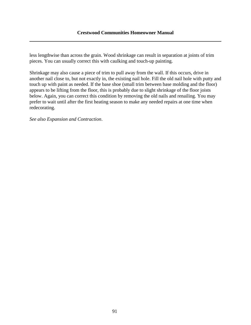less lengthwise than across the grain. Wood shrinkage can result in separation at joints of trim pieces. You can usually correct this with caulking and touch-up painting.

Shrinkage may also cause a piece of trim to pull away from the wall. If this occurs, drive in another nail close to, but not exactly in, the existing nail hole. Fill the old nail hole with putty and touch up with paint as needed. If the base shoe (small trim between base molding and the floor) appears to be lifting from the floor, this is probably due to slight shrinkage of the floor joists below. Again, you can correct this condition by removing the old nails and renailing. You may prefer to wait until after the first heating season to make any needed repairs at one time when redecorating.

*See also Expansion and Contraction*.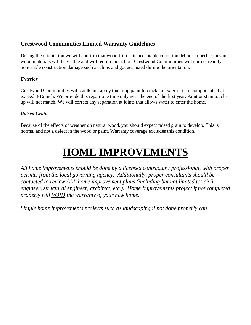## **Crestwood Communities Limited Warranty Guidelines**

During the orientation we will confirm that wood trim is in acceptable condition. Minor imperfections in wood materials will be visible and will require no action. Crestwood Communities will correct readily noticeable construction damage such as chips and gouges listed during the orientation.

### *Exterior*

Crestwood Communities will caulk and apply touch-up paint to cracks in exterior trim components that exceed 3/16 inch. We provide this repair one time only near the end of the first year. Paint or stain touchup will not match. We will correct any separation at joints that allows water to enter the home.

## *Raised Grain*

Because of the effects of weather on natural wood, you should expect raised grain to develop. This is normal and not a defect in the wood or paint. Warranty coverage excludes this condition.

# **HOME IMPROVEMENTS**

*All home improvements should be done by a licensed contractor / professional, with proper permits from the local governing agency. Additionally, proper consultants should be contacted to review ALL home improvement plans (including but not limited to: civil engineer, structural engineer, architect, etc.). Home Improvements project if not completed properly will VOID the warranty of your new home.*

*Simple home improvements projects such as landscaping if not done properly can*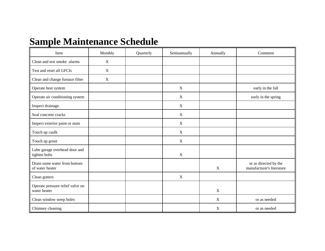# **Sample Maintenance Schedule**

| Item                                             | Monthly     | Quarterly | Semiannually | Annually    | Comment                                            |
|--------------------------------------------------|-------------|-----------|--------------|-------------|----------------------------------------------------|
| Clean and test smoke alarms                      | $\mathbf X$ |           |              |             |                                                    |
| Test and reset all GFCIs                         | $\mathbf X$ |           |              |             |                                                    |
| Clean and change furnace filter                  | $\mathbf X$ |           |              |             |                                                    |
| Operate heat system                              |             |           | $\mathbf X$  |             | early in the fall                                  |
| Operate air conditioning system                  |             |           | $\mathbf X$  |             | early in the spring                                |
| Inspect drainage                                 |             |           | $\mathbf X$  |             |                                                    |
| Seal concrete cracks                             |             |           | $\mathbf X$  |             |                                                    |
| Inspect exterior paint or stain                  |             |           | $\mathbf X$  |             |                                                    |
| Touch up caulk                                   |             |           | $\mathbf X$  |             |                                                    |
| Touch up grout                                   |             |           | $\mathbf X$  |             |                                                    |
| Lube garage overhead door and<br>tighten bolts   |             |           | X            |             |                                                    |
| Drain some water from bottom<br>of water heater  |             |           |              | $\mathbf X$ | or as directed by the<br>manufacturer's literature |
| Clean gutters                                    |             |           | X            |             |                                                    |
| Operate pressure relief valve on<br>water heater |             |           |              | $\mathbf X$ |                                                    |
| Clean window weep holes                          |             |           |              | $\mathbf X$ | or as needed                                       |
| Chimney cleaning                                 |             |           |              | $\mathbf X$ | or as needed                                       |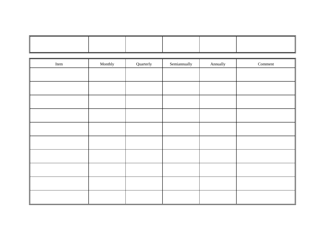| Item | Monthly | Quarterly | Semiannually | Annually | Comment |
|------|---------|-----------|--------------|----------|---------|
|      |         |           |              |          |         |
|      |         |           |              |          |         |
|      |         |           |              |          |         |
|      |         |           |              |          |         |
|      |         |           |              |          |         |
|      |         |           |              |          |         |
|      |         |           |              |          |         |
|      |         |           |              |          |         |
|      |         |           |              |          |         |
|      |         |           |              |          |         |